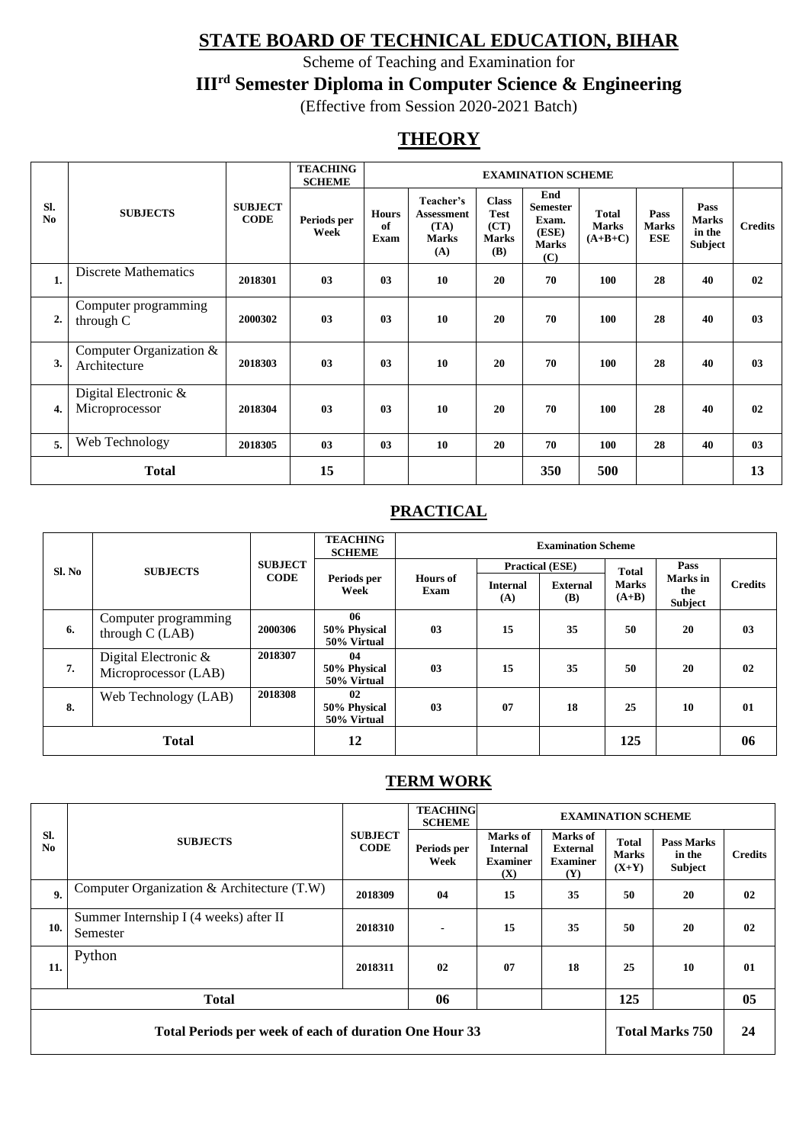# **STATE BOARD OF TECHNICAL EDUCATION, BIHAR**

Scheme of Teaching and Examination for

**IIIrd Semester Diploma in Computer Science & Engineering**

(Effective from Session 2020-2021 Batch)

# **THEORY**

|                       |                                         |                               | <b>TEACHING</b><br><b>SCHEME</b> | <b>EXAMINATION SCHEME</b>  |                                                               |                                                                   |                                                                 |                                           |                             |                                           |                |
|-----------------------|-----------------------------------------|-------------------------------|----------------------------------|----------------------------|---------------------------------------------------------------|-------------------------------------------------------------------|-----------------------------------------------------------------|-------------------------------------------|-----------------------------|-------------------------------------------|----------------|
| SI.<br>N <sub>0</sub> | <b>SUBJECTS</b>                         | <b>SUBJECT</b><br><b>CODE</b> | Periods per<br>Week              | <b>Hours</b><br>of<br>Exam | Teacher's<br><b>Assessment</b><br>(TA)<br><b>Marks</b><br>(A) | <b>Class</b><br><b>Test</b><br>(CT)<br><b>Marks</b><br><b>(B)</b> | End<br><b>Semester</b><br>Exam.<br>(ESE)<br><b>Marks</b><br>(C) | <b>Total</b><br><b>Marks</b><br>$(A+B+C)$ | Pass<br><b>Marks</b><br>ESE | Pass<br><b>Marks</b><br>in the<br>Subject | <b>Credits</b> |
| 1.                    | <b>Discrete Mathematics</b>             | 2018301                       | 03                               | 03                         | 10                                                            | 20                                                                | 70                                                              | 100                                       | 28                          | 40                                        | 02             |
| 2.                    | Computer programming<br>through C       | 2000302                       | 03                               | 0 <sub>3</sub>             | 10                                                            | 20                                                                | 70                                                              | 100                                       | 28                          | 40                                        | 03             |
| 3.                    | Computer Organization &<br>Architecture | 2018303                       | 03                               | 0 <sub>3</sub>             | 10                                                            | 20                                                                | 70                                                              | 100                                       | 28                          | 40                                        | 03             |
| 4.                    | Digital Electronic &<br>Microprocessor  | 2018304                       | 03                               | 0 <sub>3</sub>             | 10                                                            | 20                                                                | 70                                                              | 100                                       | 28                          | 40                                        | 02             |
| 5.                    | Web Technology                          | 2018305                       | 03                               | 0 <sub>3</sub>             | 10                                                            | 20                                                                | 70                                                              | <b>100</b>                                | 28                          | 40                                        | 03             |
|                       | <b>Total</b>                            | 15                            |                                  |                            |                                                               | 350                                                               | 500                                                             |                                           |                             | 13                                        |                |

# **PRACTICAL**

|                            |                                              |                | <b>TEACHING</b><br><b>Examination Scheme</b><br><b>SCHEME</b> |                         |                        |                               |                         |                                                             |    |
|----------------------------|----------------------------------------------|----------------|---------------------------------------------------------------|-------------------------|------------------------|-------------------------------|-------------------------|-------------------------------------------------------------|----|
| Sl. No                     | <b>SUBJECTS</b>                              | <b>SUBJECT</b> |                                                               |                         |                        | <b>Practical (ESE)</b>        | <b>Total</b>            | Pass<br><b>Marks</b> in<br><b>Credits</b><br>the<br>Subject |    |
|                            |                                              | <b>CODE</b>    | Periods per<br>Week                                           | <b>Hours</b> of<br>Exam | <b>Internal</b><br>(A) | <b>External</b><br><b>(B)</b> | <b>Marks</b><br>$(A+B)$ |                                                             |    |
| 6.                         | Computer programming<br>through $C$ (LAB)    | 2000306        | 06<br>50% Physical<br>50% Virtual                             | 03                      | 15                     | 35                            | 50                      | 20                                                          | 03 |
| 7.                         | Digital Electronic &<br>Microprocessor (LAB) | 2018307        | 04<br>50% Physical<br>50% Virtual                             | 03                      | 15                     | 35                            | 50                      | 20                                                          | 02 |
| Web Technology (LAB)<br>8. |                                              | 2018308        | 02<br>50% Physical<br>50% Virtual                             | 03                      | 07                     | 18                            | 25                      | 10                                                          | 01 |
|                            | <b>Total</b>                                 | 12             |                                                               |                         |                        | 125                           |                         | 06                                                          |    |

# **TERM WORK**

|                                                                                  |                                                    |                               | <b>TEACHING</b><br><b>SCHEME</b> | <b>EXAMINATION SCHEME</b>                             |                                                       |                                         |                                        |                |
|----------------------------------------------------------------------------------|----------------------------------------------------|-------------------------------|----------------------------------|-------------------------------------------------------|-------------------------------------------------------|-----------------------------------------|----------------------------------------|----------------|
| Sl.<br>N <sub>0</sub>                                                            | <b>SUBJECTS</b>                                    | <b>SUBJECT</b><br><b>CODE</b> | Periods per<br>Week              | Marks of<br><b>Internal</b><br><b>Examiner</b><br>(X) | Marks of<br><b>External</b><br><b>Examiner</b><br>(Y) | <b>Total</b><br><b>Marks</b><br>$(X+Y)$ | <b>Pass Marks</b><br>in the<br>Subject | <b>Credits</b> |
| 9.                                                                               | Computer Organization & Architecture (T.W)         | 2018309                       | 04                               | 15                                                    | 35                                                    | 50                                      | 20                                     | 02             |
| 10.                                                                              | Summer Internship I (4 weeks) after II<br>Semester | 2018310                       | $\blacksquare$                   | 15                                                    | 35                                                    | 50                                      | 20                                     | 02             |
| 11.                                                                              | Python                                             | 2018311                       | 02                               | 07                                                    | 18                                                    | 25                                      | 10                                     | 01             |
| 125<br>06<br><b>Total</b>                                                        |                                                    |                               |                                  |                                                       |                                                       |                                         |                                        | 05             |
| <b>Total Marks 750</b><br>Total Periods per week of each of duration One Hour 33 |                                                    |                               |                                  |                                                       |                                                       |                                         |                                        | 24             |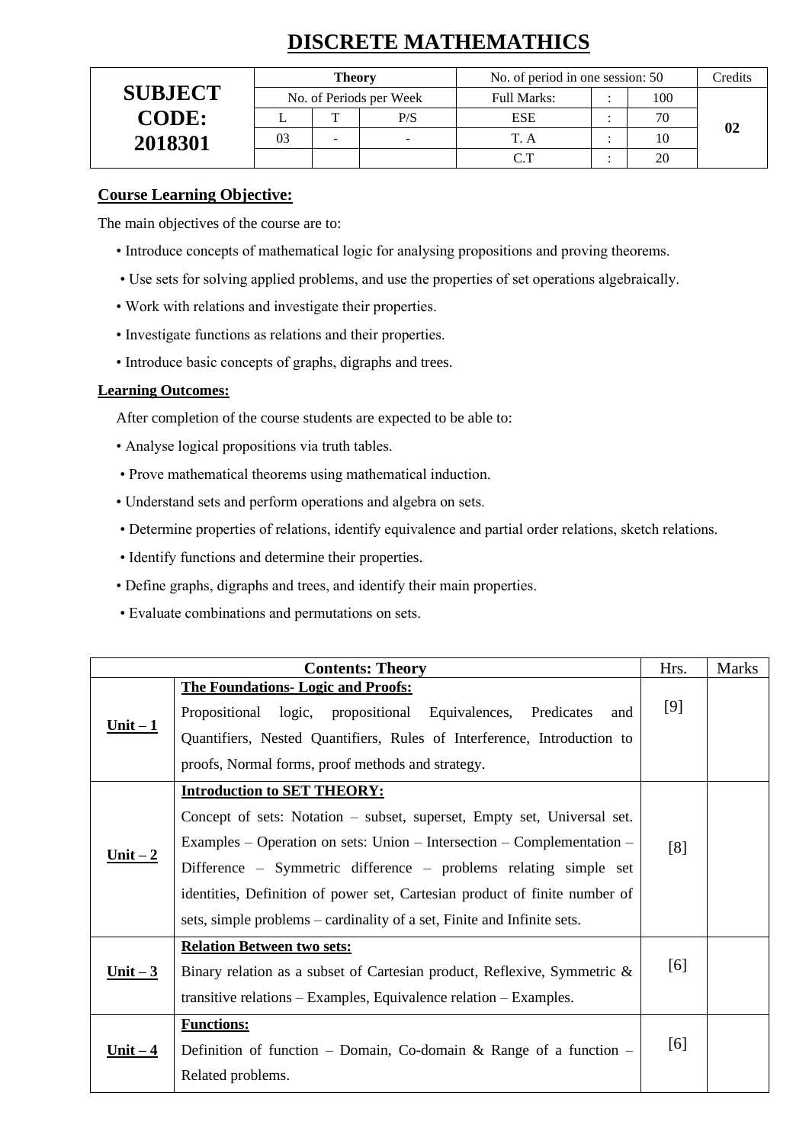# **DISCRETE MATHEMATHICS**

|                | <b>Theory</b> |                         | No. of period in one session: 50 |     | Credits |
|----------------|---------------|-------------------------|----------------------------------|-----|---------|
| <b>SUBJECT</b> |               | No. of Periods per Week | <b>Full Marks:</b>               | 100 |         |
| <b>CODE:</b>   | m             | P/S                     | <b>ESE</b>                       | 70  |         |
| 2018301        | -             |                         |                                  | 10  |         |
|                |               |                         |                                  | 20  |         |

## **Course Learning Objective:**

The main objectives of the course are to:

- Introduce concepts of mathematical logic for analysing propositions and proving theorems.
- Use sets for solving applied problems, and use the properties of set operations algebraically.
- Work with relations and investigate their properties.
- Investigate functions as relations and their properties.
- Introduce basic concepts of graphs, digraphs and trees.

#### **Learning Outcomes:**

After completion of the course students are expected to be able to:

- Analyse logical propositions via truth tables.
- Prove mathematical theorems using mathematical induction.
- Understand sets and perform operations and algebra on sets.
- Determine properties of relations, identify equivalence and partial order relations, sketch relations.
- Identify functions and determine their properties.
- Define graphs, digraphs and trees, and identify their main properties.
- Evaluate combinations and permutations on sets.

|                 | <b>Contents: Theory</b>                                                                                                                                                                                                                                                                                                                                                                                              | Hrs. | <b>Marks</b> |
|-----------------|----------------------------------------------------------------------------------------------------------------------------------------------------------------------------------------------------------------------------------------------------------------------------------------------------------------------------------------------------------------------------------------------------------------------|------|--------------|
| $Unit - 1$      | <b>The Foundations- Logic and Proofs:</b><br>Propositional logic, propositional Equivalences,<br>Predicates<br>and<br>Quantifiers, Nested Quantifiers, Rules of Interference, Introduction to<br>proofs, Normal forms, proof methods and strategy.                                                                                                                                                                   | [9]  |              |
| Unit $-2$       | <b>Introduction to SET THEORY:</b><br>Concept of sets: Notation – subset, superset, Empty set, Universal set.<br>Examples – Operation on sets: Union – Intersection – Complementation –<br>Difference – Symmetric difference – problems relating simple set<br>identities, Definition of power set, Cartesian product of finite number of<br>sets, simple problems – cardinality of a set, Finite and Infinite sets. | [8]  |              |
| <u>Unit – 3</u> | <b>Relation Between two sets:</b><br>Binary relation as a subset of Cartesian product, Reflexive, Symmetric &<br>transitive relations $-$ Examples, Equivalence relation $-$ Examples.                                                                                                                                                                                                                               | [6]  |              |
| <u>Unit – 4</u> | <b>Functions:</b><br>Definition of function – Domain, Co-domain & Range of a function –<br>Related problems.                                                                                                                                                                                                                                                                                                         | [6]  |              |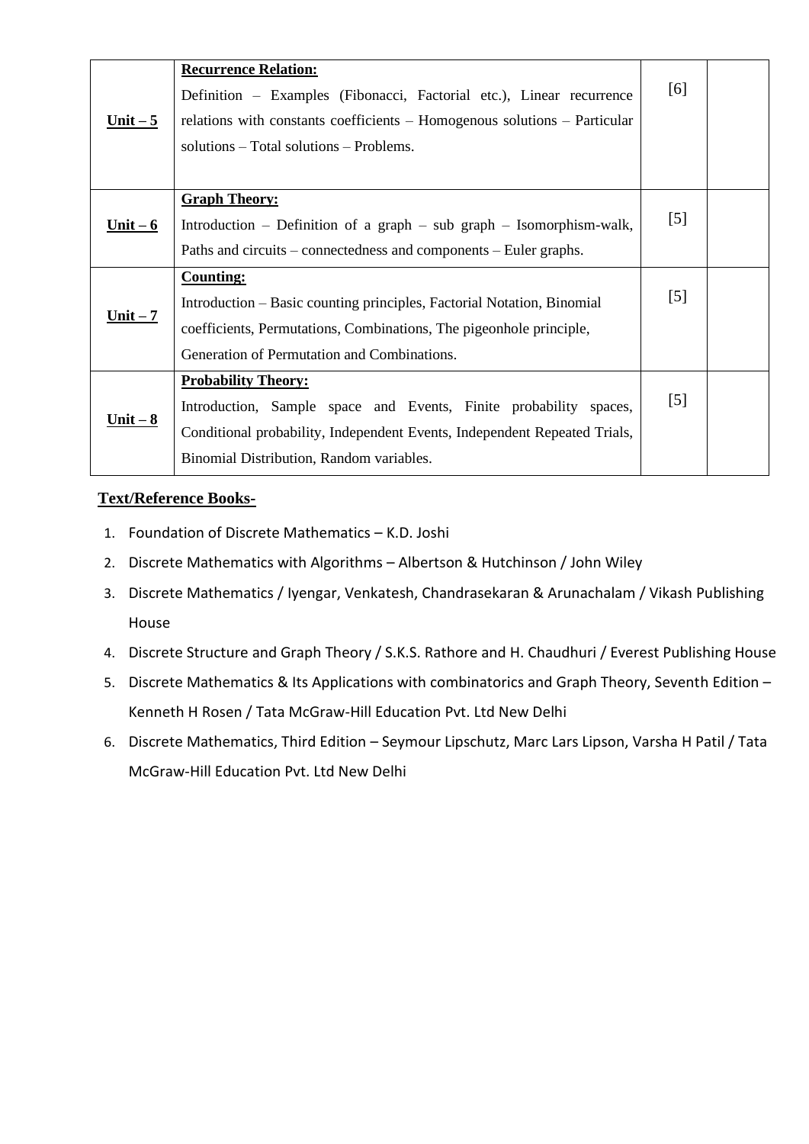| <u>Unit – 5</u> | <b>Recurrence Relation:</b><br>Definition – Examples (Fibonacci, Factorial etc.), Linear recurrence<br>relations with constants coefficients – Homogenous solutions – Particular                                         | [6]               |  |
|-----------------|--------------------------------------------------------------------------------------------------------------------------------------------------------------------------------------------------------------------------|-------------------|--|
|                 | solutions – Total solutions – Problems.                                                                                                                                                                                  |                   |  |
| $Unit - 6$      | <b>Graph Theory:</b><br>Introduction – Definition of a graph – sub graph – Isomorphism-walk,<br>Paths and circuits – connectedness and components – Euler graphs.                                                        | [5]               |  |
| Unit $-7$       | <b>Counting:</b><br>Introduction – Basic counting principles, Factorial Notation, Binomial<br>coefficients, Permutations, Combinations, The pigeonhole principle,<br>Generation of Permutation and Combinations.         | [5]               |  |
| $Unit-8$        | <b>Probability Theory:</b><br>Introduction, Sample space and Events, Finite probability spaces,<br>Conditional probability, Independent Events, Independent Repeated Trials,<br>Binomial Distribution, Random variables. | $\lceil 5 \rceil$ |  |

# **Text/Reference Books-**

- 1. Foundation of Discrete Mathematics K.D. Joshi
- 2. Discrete Mathematics with Algorithms Albertson & Hutchinson / John Wiley
- 3. Discrete Mathematics / Iyengar, Venkatesh, Chandrasekaran & Arunachalam / Vikash Publishing House
- 4. Discrete Structure and Graph Theory / S.K.S. Rathore and H. Chaudhuri / Everest Publishing House
- 5. Discrete Mathematics & Its Applications with combinatorics and Graph Theory, Seventh Edition Kenneth H Rosen / Tata McGraw-Hill Education Pvt. Ltd New Delhi
- 6. Discrete Mathematics, Third Edition Seymour Lipschutz, Marc Lars Lipson, Varsha H Patil / Tata McGraw-Hill Education Pvt. Ltd New Delhi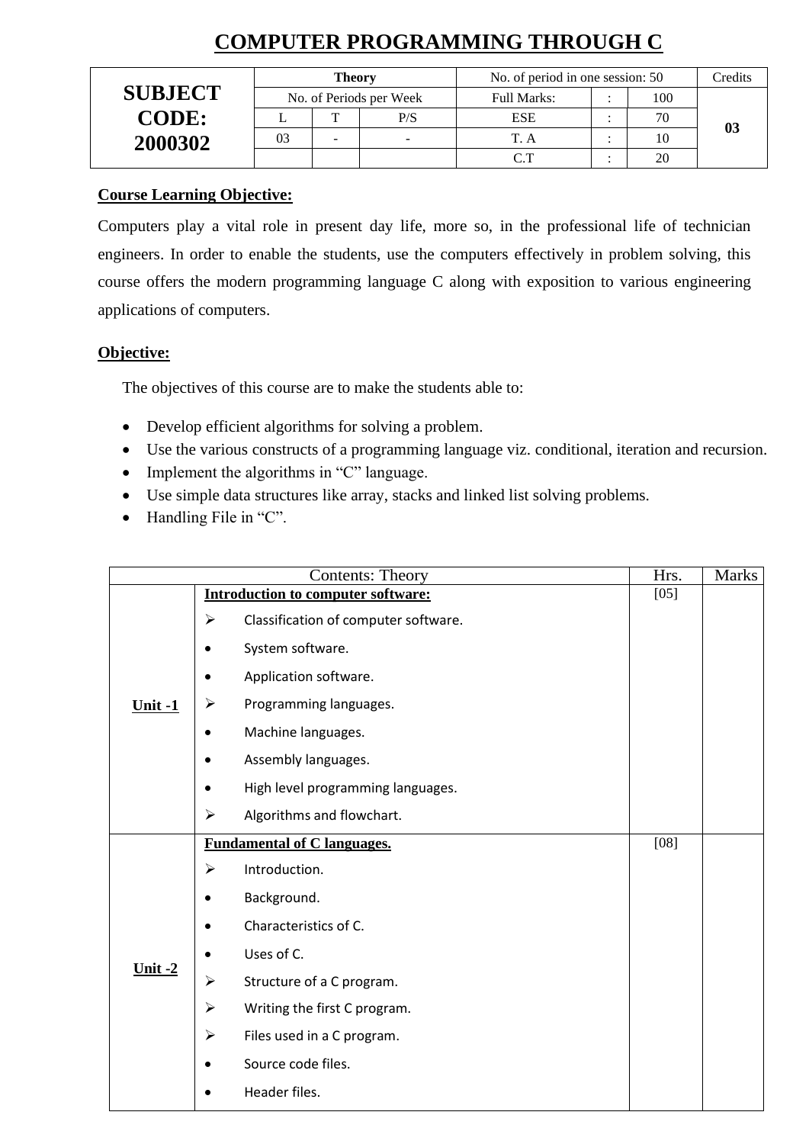# **COMPUTER PROGRAMMING THROUGH C**

|                |    | <b>Theory</b> |                         | No. of period in one session: 50 |     | Credits |
|----------------|----|---------------|-------------------------|----------------------------------|-----|---------|
| <b>SUBJECT</b> |    |               | No. of Periods per Week | <b>Full Marks:</b>               | 100 |         |
| <b>CODE:</b>   |    | m             | P/S                     | <b>ESE</b>                       | 70  |         |
| 2000302        | 03 |               |                         | TΔ                               |     | 03      |
|                |    |               |                         | $\cap$ T                         | 20  |         |

# **Course Learning Objective:**

Computers play a vital role in present day life, more so, in the professional life of technician engineers. In order to enable the students, use the computers effectively in problem solving, this course offers the modern programming language C along with exposition to various engineering applications of computers.

# **Objective:**

The objectives of this course are to make the students able to:

- Develop efficient algorithms for solving a problem.
- Use the various constructs of a programming language viz. conditional, iteration and recursion.
- Implement the algorithms in "C" language.
- Use simple data structures like array, stacks and linked list solving problems.
- Handling File in "C".

|           |                       | <b>Contents: Theory</b>                   | Hrs.   | <b>Marks</b> |
|-----------|-----------------------|-------------------------------------------|--------|--------------|
|           |                       | <b>Introduction to computer software:</b> | $[05]$ |              |
|           | ➤                     | Classification of computer software.      |        |              |
|           | $\bullet$             | System software.                          |        |              |
|           | $\bullet$             | Application software.                     |        |              |
| $Unit -1$ | $\blacktriangleright$ | Programming languages.                    |        |              |
|           | $\bullet$             | Machine languages.                        |        |              |
|           | $\bullet$             | Assembly languages.                       |        |              |
|           | $\bullet$             | High level programming languages.         |        |              |
|           | ➤                     | Algorithms and flowchart.                 |        |              |
|           |                       | <b>Fundamental of C languages.</b>        | [08]   |              |
|           | ➤                     | Introduction.                             |        |              |
|           | $\bullet$             | Background.                               |        |              |
|           | $\bullet$             | Characteristics of C.                     |        |              |
|           | $\bullet$             | Uses of C.                                |        |              |
| Unit $-2$ | $\blacktriangleright$ | Structure of a C program.                 |        |              |
|           | $\blacktriangleright$ | Writing the first C program.              |        |              |
|           | $\blacktriangleright$ | Files used in a C program.                |        |              |
|           | $\bullet$             | Source code files.                        |        |              |
|           |                       | Header files.                             |        |              |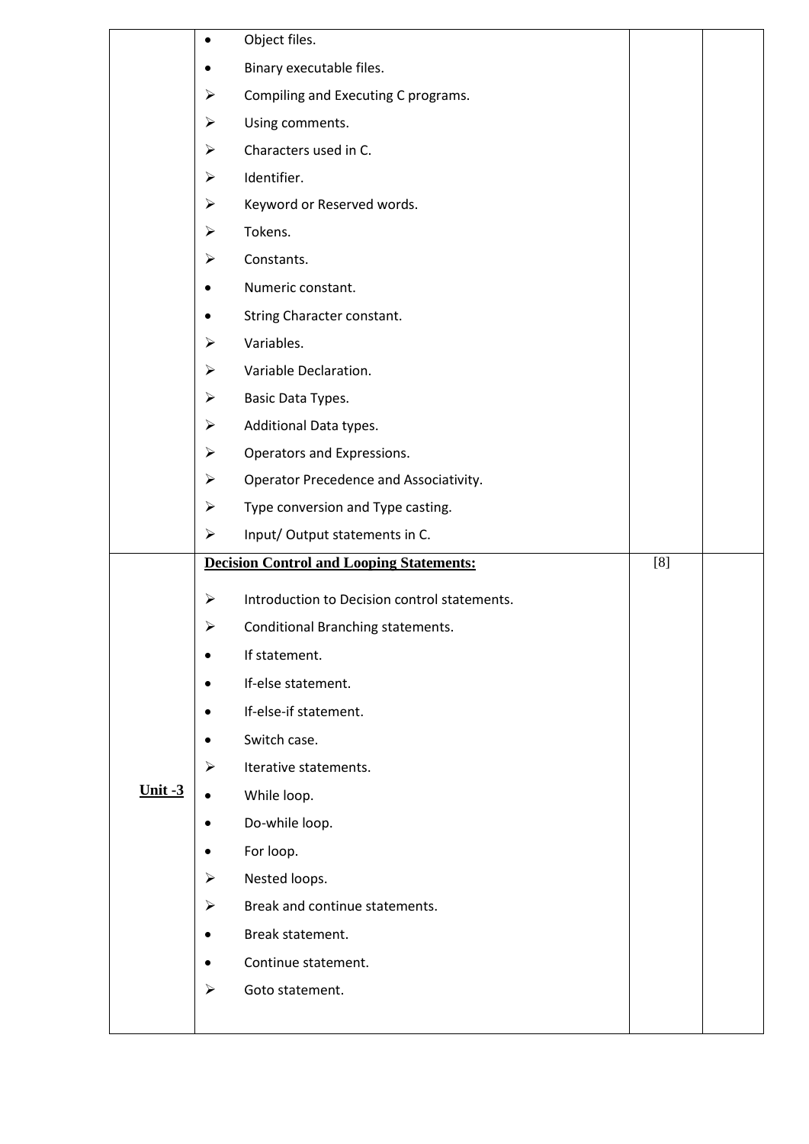|           | ٠                     | Object files.                                   |     |  |
|-----------|-----------------------|-------------------------------------------------|-----|--|
|           |                       | Binary executable files.                        |     |  |
|           | $\blacktriangleright$ | Compiling and Executing C programs.             |     |  |
|           | $\blacktriangleright$ | Using comments.                                 |     |  |
|           | $\blacktriangleright$ | Characters used in C.                           |     |  |
|           | $\blacktriangleright$ | Identifier.                                     |     |  |
|           | $\blacktriangleright$ | Keyword or Reserved words.                      |     |  |
|           | $\blacktriangleright$ | Tokens.                                         |     |  |
|           | $\blacktriangleright$ | Constants.                                      |     |  |
|           |                       | Numeric constant.                               |     |  |
|           |                       | String Character constant.                      |     |  |
|           | ➤                     | Variables.                                      |     |  |
|           | ➤                     | Variable Declaration.                           |     |  |
|           | $\blacktriangleright$ | Basic Data Types.                               |     |  |
|           | ➤                     | Additional Data types.                          |     |  |
|           | $\blacktriangleright$ | Operators and Expressions.                      |     |  |
|           | $\blacktriangleright$ | Operator Precedence and Associativity.          |     |  |
|           | $\blacktriangleright$ | Type conversion and Type casting.               |     |  |
|           | $\blacktriangleright$ | Input/Output statements in C.                   |     |  |
|           |                       | <b>Decision Control and Looping Statements:</b> | [8] |  |
|           | ➤                     | Introduction to Decision control statements.    |     |  |
|           | $\blacktriangleright$ | Conditional Branching statements.               |     |  |
|           |                       | If statement.                                   |     |  |
|           | ٠                     | If-else statement.                              |     |  |
|           |                       | If-else-if statement.                           |     |  |
|           | ٠                     | Switch case.                                    |     |  |
|           | $\blacktriangleright$ | Iterative statements.                           |     |  |
| Unit $-3$ | $\bullet$             | While loop.                                     |     |  |
|           | $\bullet$             | Do-while loop.                                  |     |  |
|           |                       |                                                 |     |  |
|           |                       | For loop.                                       |     |  |
|           | $\blacktriangleright$ | Nested loops.                                   |     |  |
|           | $\blacktriangleright$ | Break and continue statements.                  |     |  |
|           | ٠                     | Break statement.                                |     |  |
|           | ٠                     | Continue statement.                             |     |  |
|           | ➤                     | Goto statement.                                 |     |  |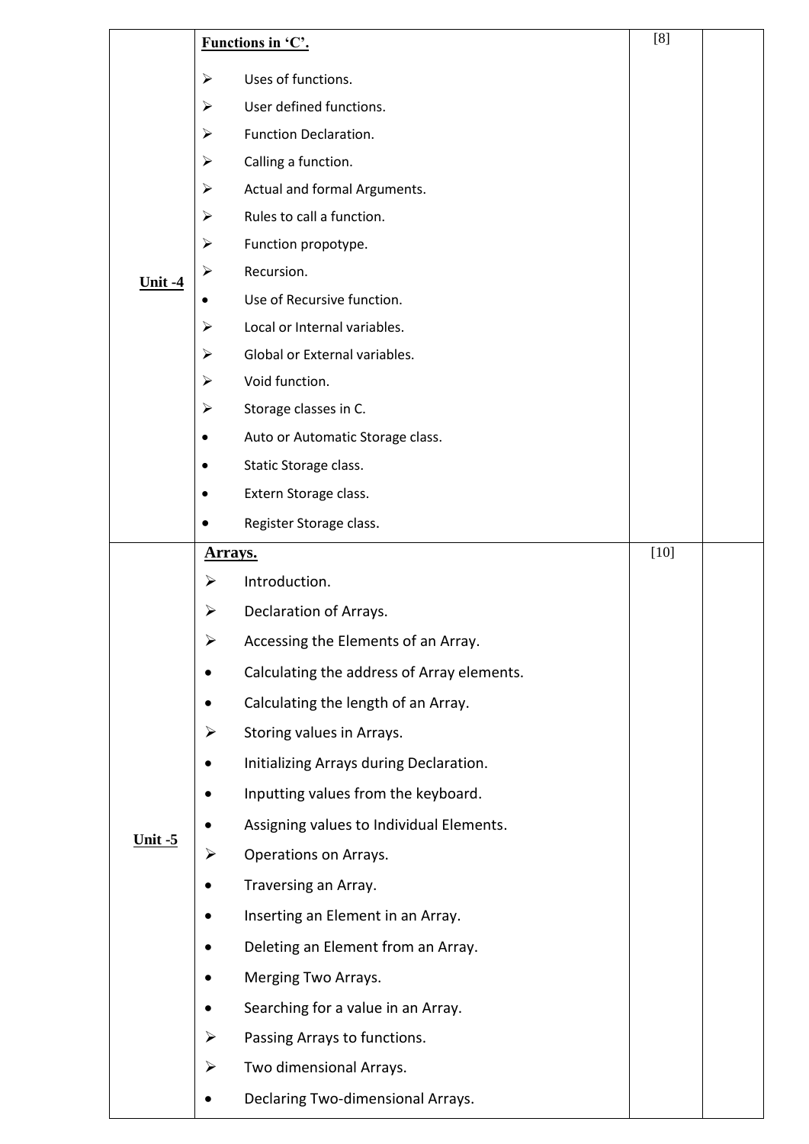|                       |                       | Functions in 'C'.                          | [8]    |  |
|-----------------------|-----------------------|--------------------------------------------|--------|--|
|                       | $\blacktriangleright$ | Uses of functions.                         |        |  |
|                       | ➤                     | User defined functions.                    |        |  |
|                       | ➤                     | Function Declaration.                      |        |  |
|                       | ➤                     | Calling a function.                        |        |  |
|                       | ➤                     | Actual and formal Arguments.               |        |  |
|                       | $\blacktriangleright$ | Rules to call a function.                  |        |  |
|                       | ➤                     | Function propotype.                        |        |  |
| <u><b>Unit -4</b></u> | ➤                     | Recursion.                                 |        |  |
|                       |                       | Use of Recursive function.                 |        |  |
|                       | ➤                     | Local or Internal variables.               |        |  |
|                       | ➤                     | Global or External variables.              |        |  |
|                       | ➤                     | Void function.                             |        |  |
|                       | ➤                     | Storage classes in C.                      |        |  |
|                       | ٠                     | Auto or Automatic Storage class.           |        |  |
|                       |                       | Static Storage class.                      |        |  |
|                       | ٠                     | Extern Storage class.                      |        |  |
|                       |                       | Register Storage class.                    |        |  |
|                       | <u>Arrays.</u>        |                                            | $[10]$ |  |
|                       | ➤                     | Introduction.                              |        |  |
|                       | ➤                     | Declaration of Arrays.                     |        |  |
|                       | ➤                     | Accessing the Elements of an Array.        |        |  |
|                       |                       | Calculating the address of Array elements. |        |  |
|                       |                       | Calculating the length of an Array.        |        |  |
|                       | $\blacktriangleright$ | Storing values in Arrays.                  |        |  |
|                       |                       | Initializing Arrays during Declaration.    |        |  |
|                       |                       | Inputting values from the keyboard.        |        |  |
|                       |                       | Assigning values to Individual Elements.   |        |  |
| $Unit - 5$            | ➤                     | Operations on Arrays.                      |        |  |
|                       |                       | Traversing an Array.                       |        |  |
|                       |                       | Inserting an Element in an Array.          |        |  |
|                       |                       | Deleting an Element from an Array.         |        |  |
|                       |                       | Merging Two Arrays.                        |        |  |
|                       | ٠                     | Searching for a value in an Array.         |        |  |
|                       | ➤                     | Passing Arrays to functions.               |        |  |
|                       | $\blacktriangleright$ | Two dimensional Arrays.                    |        |  |
|                       | $\bullet$             | Declaring Two-dimensional Arrays.          |        |  |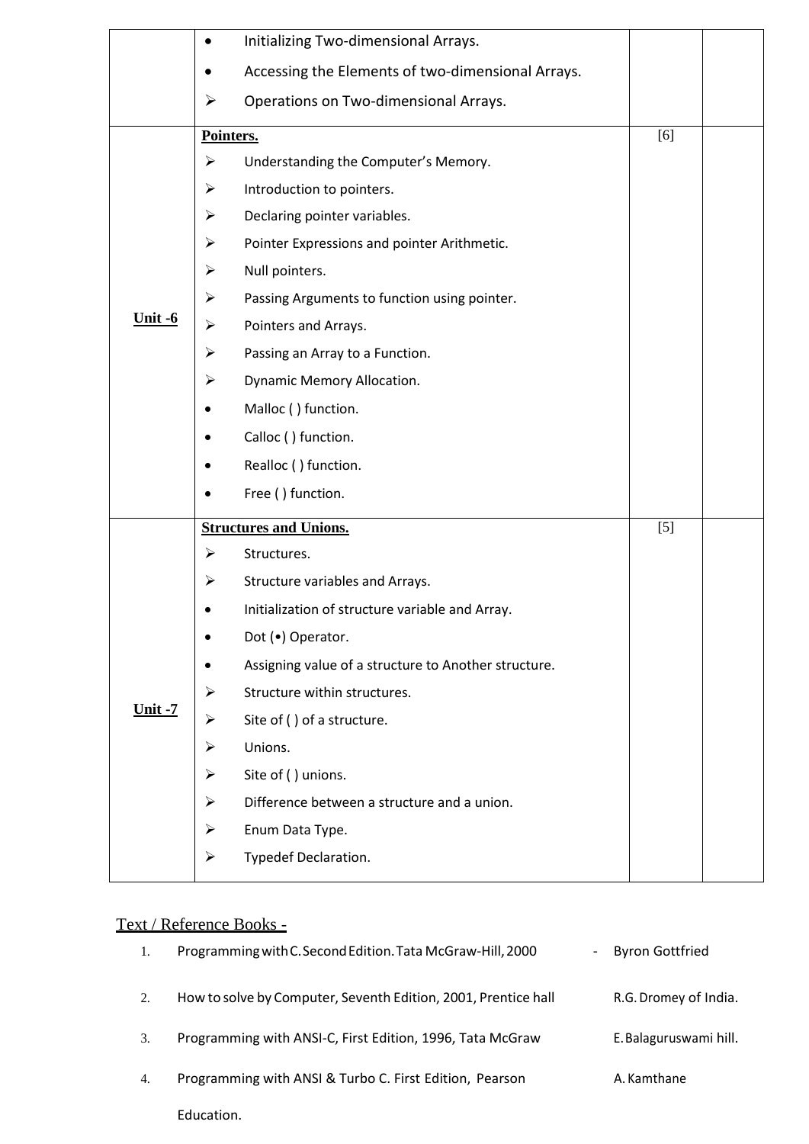|                | $\bullet$             | Initializing Two-dimensional Arrays.                 |       |  |
|----------------|-----------------------|------------------------------------------------------|-------|--|
|                |                       | Accessing the Elements of two-dimensional Arrays.    |       |  |
|                | $\blacktriangleright$ | Operations on Two-dimensional Arrays.                |       |  |
|                |                       | Pointers.                                            | [6]   |  |
|                | $\blacktriangleright$ | Understanding the Computer's Memory.                 |       |  |
|                | ➤                     | Introduction to pointers.                            |       |  |
|                | ➤                     | Declaring pointer variables.                         |       |  |
|                | ➤                     | Pointer Expressions and pointer Arithmetic.          |       |  |
|                | ➤                     | Null pointers.                                       |       |  |
|                | ➤                     | Passing Arguments to function using pointer.         |       |  |
| Unit $-6$      | $\blacktriangleright$ | Pointers and Arrays.                                 |       |  |
|                | $\blacktriangleright$ | Passing an Array to a Function.                      |       |  |
|                | ➤                     | Dynamic Memory Allocation.                           |       |  |
|                | $\bullet$             | Malloc () function.                                  |       |  |
|                | ٠                     | Calloc () function.                                  |       |  |
|                | ٠                     | Realloc () function.                                 |       |  |
|                |                       | Free () function.                                    |       |  |
|                |                       | <b>Structures and Unions.</b>                        | $[5]$ |  |
|                | ➤                     | Structures.                                          |       |  |
|                | ➤                     | Structure variables and Arrays.                      |       |  |
|                |                       | Initialization of structure variable and Array.      |       |  |
|                | $\bullet$             | Dot (.) Operator.                                    |       |  |
|                |                       | Assigning value of a structure to Another structure. |       |  |
|                | ➤                     | Structure within structures.                         |       |  |
| <u>Unit -7</u> | $\blacktriangleright$ | Site of () of a structure.                           |       |  |
|                | ➤                     | Unions.                                              |       |  |
|                | $\blacktriangleright$ | Site of () unions.                                   |       |  |
|                | ➤                     | Difference between a structure and a union.          |       |  |
|                | ➤                     | Enum Data Type.                                      |       |  |
|                | $\blacktriangleright$ | Typedef Declaration.                                 |       |  |

# Text / Reference Books -

| 1. | Programming with C. Second Edition. Tata McGraw-Hill, 2000<br>$\qquad \qquad \blacksquare$ | <b>Byron Gottfried</b> |
|----|--------------------------------------------------------------------------------------------|------------------------|
| 2. | How to solve by Computer, Seventh Edition, 2001, Prentice hall                             | R.G. Dromey of India.  |
| 3. | Programming with ANSI-C, First Edition, 1996, Tata McGraw                                  | E. Balaguruswami hill. |
| 4. | Programming with ANSI & Turbo C. First Edition, Pearson                                    | A. Kamthane            |
|    | Education.                                                                                 |                        |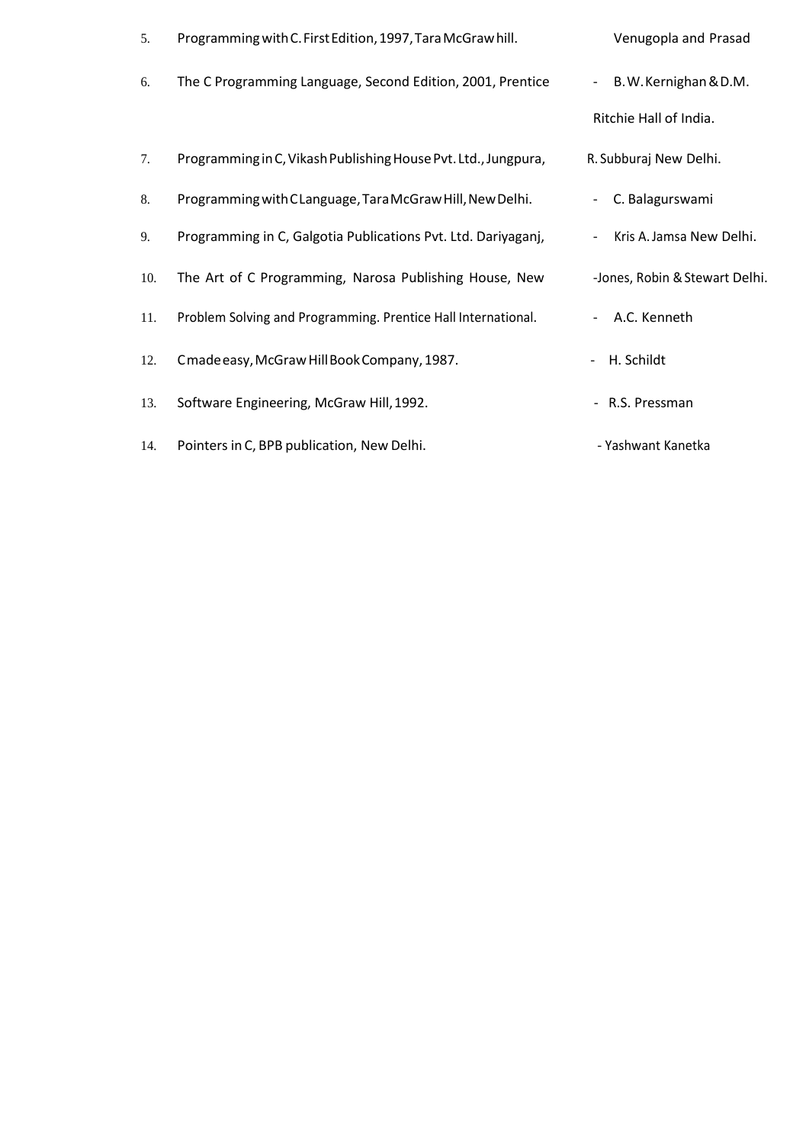| 5.  | Programming with C. First Edition, 1997, Tara McGrawhill.      | Venugopla and Prasad                        |
|-----|----------------------------------------------------------------|---------------------------------------------|
| 6.  | The C Programming Language, Second Edition, 2001, Prentice     | B.W.Kernighan & D.M.<br>$\sim$              |
|     |                                                                | Ritchie Hall of India.                      |
| 7.  | Programming in C, Vikash Publishing House Pvt. Ltd., Jungpura, | R. Subburaj New Delhi.                      |
| 8.  | Programming with CLanguage, Tara McGraw Hill, New Delhi.       | C. Balagurswami<br>$\overline{\phantom{a}}$ |
| 9.  | Programming in C, Galgotia Publications Pvt. Ltd. Dariyaganj,  | Kris A. Jamsa New Delhi.                    |
| 10. | The Art of C Programming, Narosa Publishing House, New         | -Jones, Robin & Stewart Delhi.              |
| 11. | Problem Solving and Programming. Prentice Hall International.  | A.C. Kenneth                                |
| 12. | Cmade easy, McGraw Hill Book Company, 1987.                    | H. Schildt                                  |
| 13. | Software Engineering, McGraw Hill, 1992.                       | - R.S. Pressman                             |
| 14. | Pointers in C, BPB publication, New Delhi.                     | - Yashwant Kanetka                          |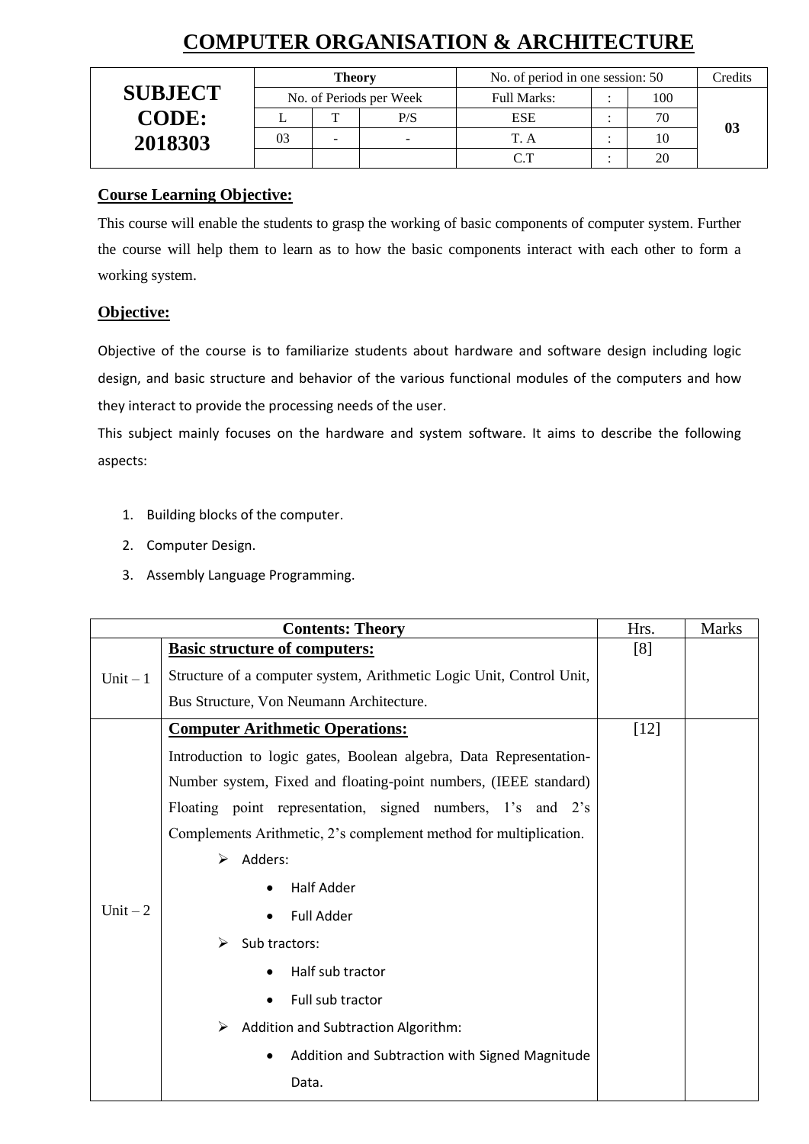# **COMPUTER ORGANISATION & ARCHITECTURE**

|                | <b>Theory</b> |  |                         | No. of period in one session: 50 | Credits |                |
|----------------|---------------|--|-------------------------|----------------------------------|---------|----------------|
| <b>SUBJECT</b> |               |  | No. of Periods per Week | <b>Full Marks:</b>               | 100     |                |
| <b>CODE:</b>   |               |  | P/S                     | <b>ESE</b>                       | 70      |                |
| 2018303        | 03            |  |                         |                                  | 10      | 0 <sup>3</sup> |
|                |               |  |                         | $\cap$ $\top$                    | 20      |                |

## **Course Learning Objective:**

This course will enable the students to grasp the working of basic components of computer system. Further the course will help them to learn as to how the basic components interact with each other to form a working system.

### **Objective:**

Objective of the course is to familiarize students about hardware and software design including logic design, and basic structure and behavior of the various functional modules of the computers and how they interact to provide the processing needs of the user.

This subject mainly focuses on the hardware and system software. It aims to describe the following aspects:

- 1. Building blocks of the computer.
- 2. Computer Design.
- 3. Assembly Language Programming.

|           | Hrs.                                                                 | <b>Marks</b> |  |
|-----------|----------------------------------------------------------------------|--------------|--|
|           | <b>Basic structure of computers:</b>                                 | [8]          |  |
| Unit $-1$ | Structure of a computer system, Arithmetic Logic Unit, Control Unit, |              |  |
|           | Bus Structure, Von Neumann Architecture.                             |              |  |
|           | <b>Computer Arithmetic Operations:</b>                               | $[12]$       |  |
|           | Introduction to logic gates, Boolean algebra, Data Representation-   |              |  |
|           | Number system, Fixed and floating-point numbers, (IEEE standard)     |              |  |
|           | Floating point representation, signed numbers, 1's and 2's           |              |  |
|           | Complements Arithmetic, 2's complement method for multiplication.    |              |  |
|           | Adders:<br>➤                                                         |              |  |
|           | <b>Half Adder</b>                                                    |              |  |
| Unit $-2$ | <b>Full Adder</b>                                                    |              |  |
|           | Sub tractors:<br>➤                                                   |              |  |
|           | Half sub tractor                                                     |              |  |
|           | Full sub tractor                                                     |              |  |
|           | Addition and Subtraction Algorithm:<br>➤                             |              |  |
|           | Addition and Subtraction with Signed Magnitude<br>$\bullet$          |              |  |
|           | Data.                                                                |              |  |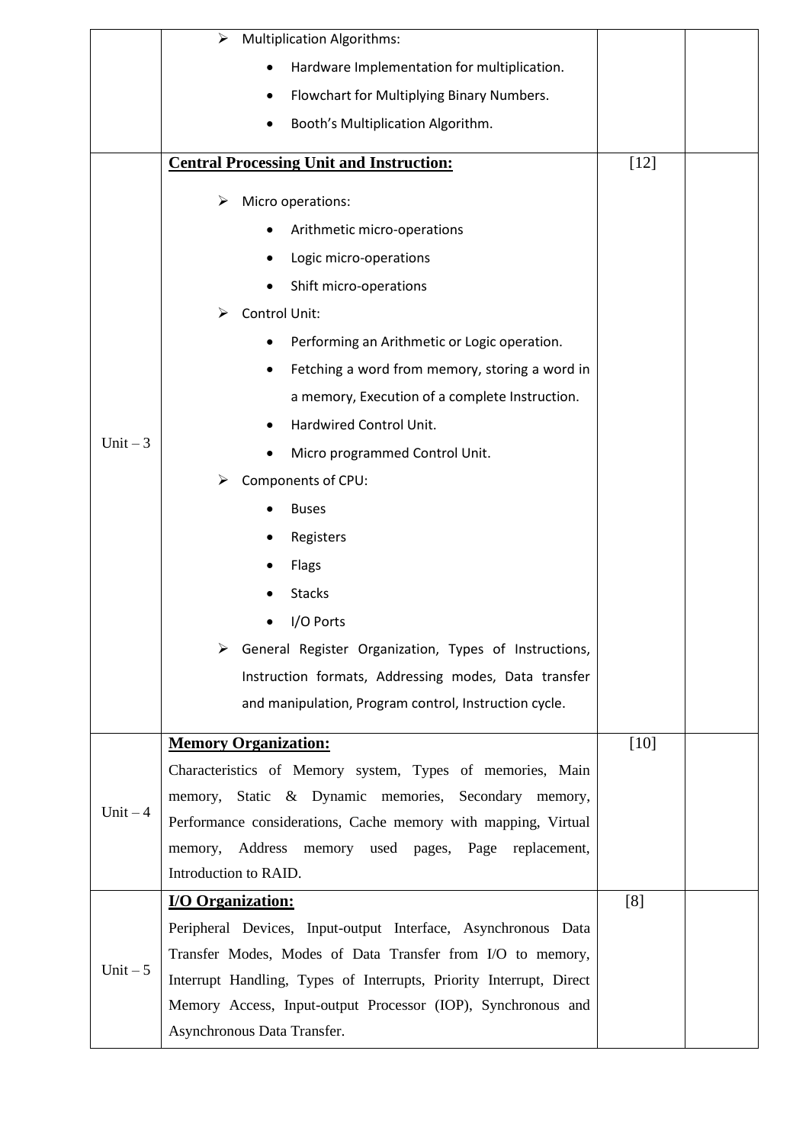|           | <b>Multiplication Algorithms:</b><br>➤                                                      |        |  |
|-----------|---------------------------------------------------------------------------------------------|--------|--|
|           | Hardware Implementation for multiplication.                                                 |        |  |
|           | Flowchart for Multiplying Binary Numbers.<br>$\bullet$                                      |        |  |
|           | Booth's Multiplication Algorithm.                                                           |        |  |
|           | <b>Central Processing Unit and Instruction:</b>                                             | $[12]$ |  |
|           | Micro operations:<br>➤                                                                      |        |  |
|           | Arithmetic micro-operations                                                                 |        |  |
|           | Logic micro-operations                                                                      |        |  |
|           | Shift micro-operations                                                                      |        |  |
|           | Control Unit:<br>➤                                                                          |        |  |
|           | Performing an Arithmetic or Logic operation.                                                |        |  |
|           | Fetching a word from memory, storing a word in                                              |        |  |
|           | a memory, Execution of a complete Instruction.                                              |        |  |
|           | Hardwired Control Unit.                                                                     |        |  |
| Unit $-3$ | Micro programmed Control Unit.                                                              |        |  |
|           | Components of CPU:                                                                          |        |  |
|           | <b>Buses</b>                                                                                |        |  |
|           | Registers                                                                                   |        |  |
|           | Flags                                                                                       |        |  |
|           | <b>Stacks</b>                                                                               |        |  |
|           | I/O Ports                                                                                   |        |  |
|           | General Register Organization, Types of Instructions,                                       |        |  |
|           | Instruction formats, Addressing modes, Data transfer                                        |        |  |
|           | and manipulation, Program control, Instruction cycle.                                       |        |  |
|           | <b>Memory Organization:</b>                                                                 | $[10]$ |  |
|           | Characteristics of Memory system, Types of memories, Main                                   |        |  |
|           | memory, Static & Dynamic memories, Secondary memory,                                        |        |  |
| Unit $-4$ | Performance considerations, Cache memory with mapping, Virtual                              |        |  |
|           | Address memory used pages, Page replacement,<br>memory,                                     |        |  |
|           | Introduction to RAID.                                                                       |        |  |
|           | <b>I/O Organization:</b>                                                                    | [8]    |  |
|           | Peripheral Devices, Input-output Interface, Asynchronous Data                               |        |  |
| Unit $-5$ | Transfer Modes, Modes of Data Transfer from I/O to memory,                                  |        |  |
|           | Interrupt Handling, Types of Interrupts, Priority Interrupt, Direct                         |        |  |
|           | Memory Access, Input-output Processor (IOP), Synchronous and<br>Asynchronous Data Transfer. |        |  |
|           |                                                                                             |        |  |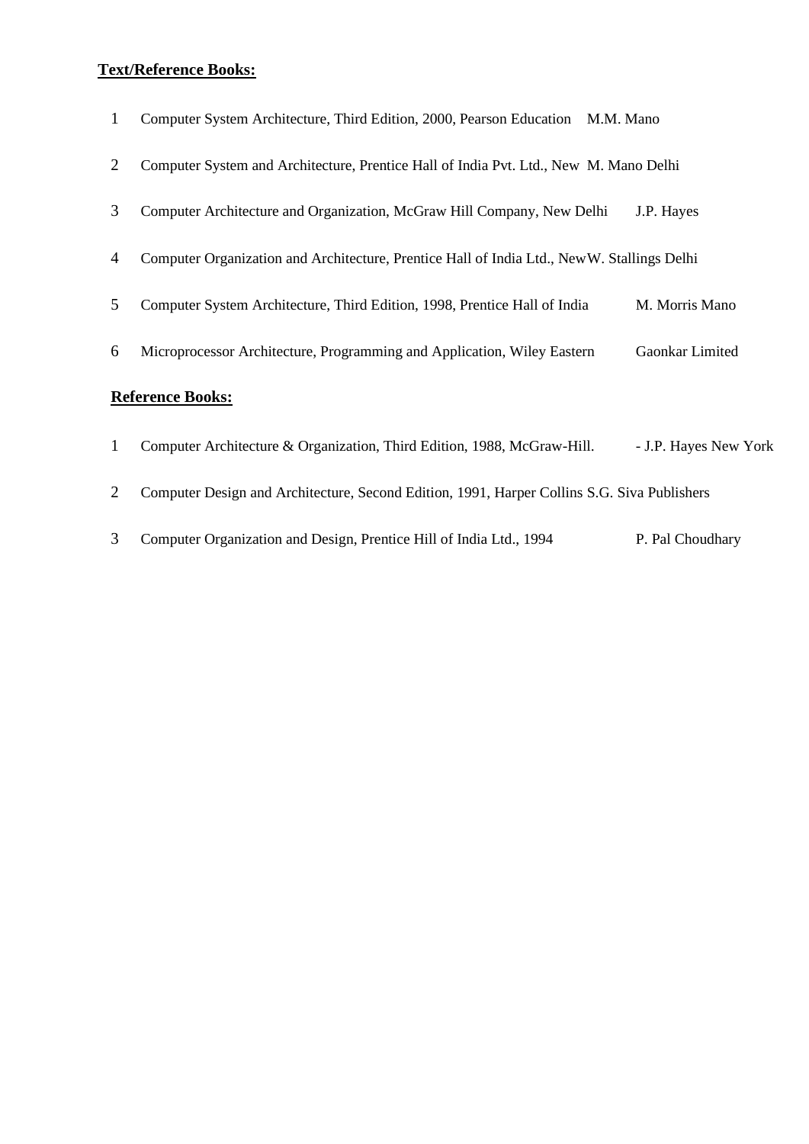#### **Text/Reference Books:**

| Computer System Architecture, Third Edition, 2000, Pearson Education M.M. Mano |  |  |  |  |  |  |  |
|--------------------------------------------------------------------------------|--|--|--|--|--|--|--|
|--------------------------------------------------------------------------------|--|--|--|--|--|--|--|

- 2 Computer System and Architecture, Prentice Hall of India Pvt. Ltd., New M. Mano Delhi
- 3 Computer Architecture and Organization, McGraw Hill Company, New Delhi J.P. Hayes
- 4 Computer Organization and Architecture, Prentice Hall of India Ltd., NewW. Stallings Delhi
- 5 Computer System Architecture, Third Edition, 1998, Prentice Hall of India M. Morris Mano
- 6 Microprocessor Architecture, Programming and Application, Wiley Eastern Gaonkar Limited

- 1 Computer Architecture & Organization, Third Edition, 1988, McGraw-Hill. J.P. Hayes New York
- 2 Computer Design and Architecture, Second Edition, 1991, Harper Collins S.G. Siva Publishers
- 3 Computer Organization and Design, Prentice Hill of India Ltd., 1994 P. Pal Choudhary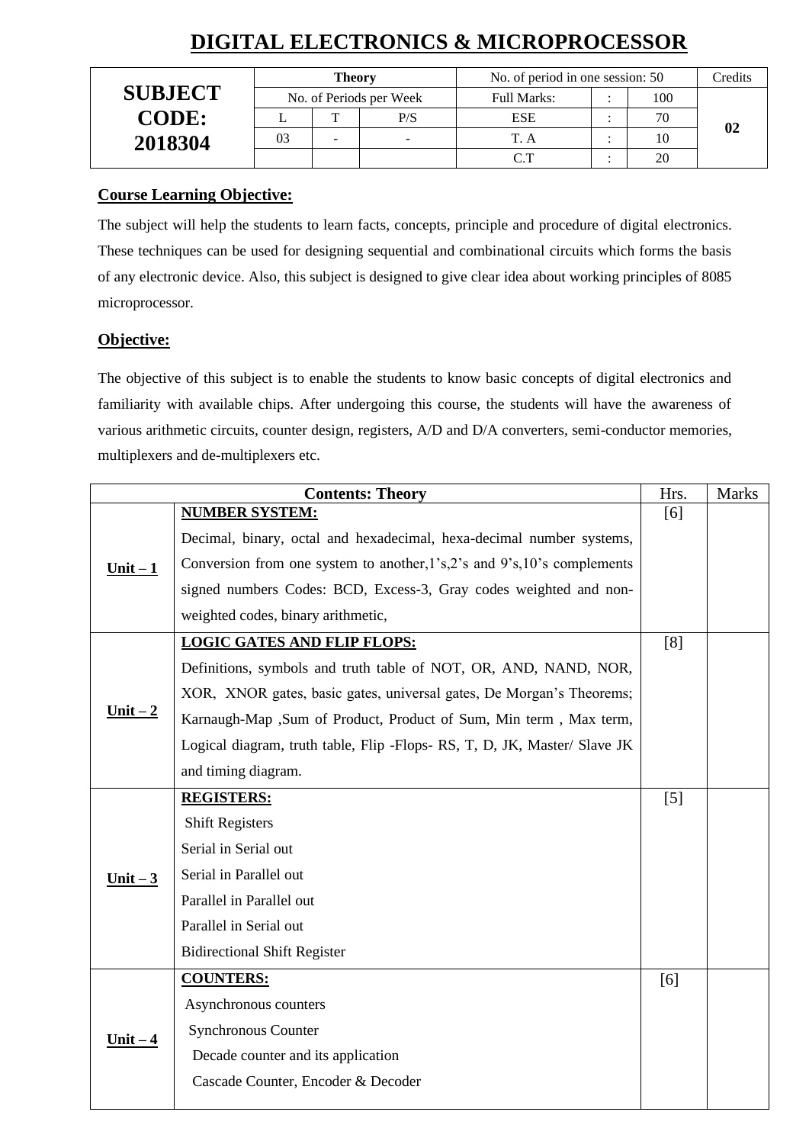|                | <b>Theory</b>           |  |     | No. of period in one session: 50 | Credits |  |
|----------------|-------------------------|--|-----|----------------------------------|---------|--|
| <b>SUBJECT</b> | No. of Periods per Week |  |     | Full Marks:                      | 100     |  |
| <b>CODE:</b>   |                         |  | P/S | <b>ESE</b>                       | 70      |  |
| 2018304        | 03                      |  |     |                                  | 10      |  |
|                |                         |  |     |                                  |         |  |

# **DIGITAL ELECTRONICS & MICROPROCESSOR**

#### **Course Learning Objective:**

The subject will help the students to learn facts, concepts, principle and procedure of digital electronics. These techniques can be used for designing sequential and combinational circuits which forms the basis of any electronic device. Also, this subject is designed to give clear idea about working principles of 8085 microprocessor.

### **Objective:**

The objective of this subject is to enable the students to know basic concepts of digital electronics and familiarity with available chips. After undergoing this course, the students will have the awareness of various arithmetic circuits, counter design, registers, A/D and D/A converters, semi-conductor memories, multiplexers and de-multiplexers etc.

|            | <b>Contents: Theory</b>                                                   | Hrs.  | <b>Marks</b> |
|------------|---------------------------------------------------------------------------|-------|--------------|
|            | <b>NUMBER SYSTEM:</b>                                                     | [6]   |              |
|            | Decimal, binary, octal and hexadecimal, hexa-decimal number systems,      |       |              |
| Unit $-1$  | Conversion from one system to another, l's, 2's and 9's, 10's complements |       |              |
|            | signed numbers Codes: BCD, Excess-3, Gray codes weighted and non-         |       |              |
|            | weighted codes, binary arithmetic,                                        |       |              |
|            | <b>LOGIC GATES AND FLIP FLOPS:</b>                                        | [8]   |              |
|            | Definitions, symbols and truth table of NOT, OR, AND, NAND, NOR,          |       |              |
|            | XOR, XNOR gates, basic gates, universal gates, De Morgan's Theorems;      |       |              |
| $Unit - 2$ | Karnaugh-Map ,Sum of Product, Product of Sum, Min term, Max term,         |       |              |
|            | Logical diagram, truth table, Flip -Flops- RS, T, D, JK, Master/ Slave JK |       |              |
|            | and timing diagram.                                                       |       |              |
|            | <b>REGISTERS:</b>                                                         | $[5]$ |              |
|            | <b>Shift Registers</b>                                                    |       |              |
|            | Serial in Serial out                                                      |       |              |
| Unit $-3$  | Serial in Parallel out                                                    |       |              |
|            | Parallel in Parallel out                                                  |       |              |
|            | Parallel in Serial out                                                    |       |              |
|            | <b>Bidirectional Shift Register</b>                                       |       |              |
|            | <b>COUNTERS:</b>                                                          | [6]   |              |
|            | Asynchronous counters                                                     |       |              |
| $Unit - 4$ | Synchronous Counter                                                       |       |              |
|            | Decade counter and its application                                        |       |              |
|            | Cascade Counter, Encoder & Decoder                                        |       |              |
|            |                                                                           |       |              |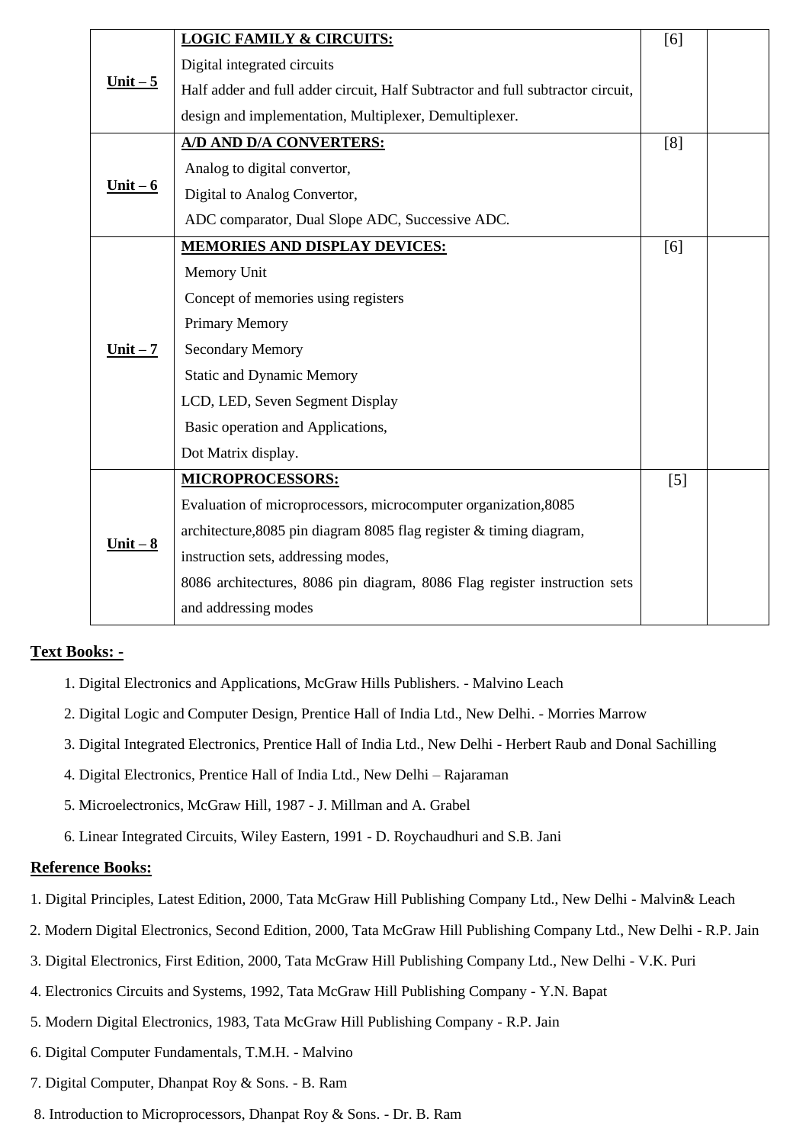|                             | <b>LOGIC FAMILY &amp; CIRCUITS:</b>                                             | [6] |  |
|-----------------------------|---------------------------------------------------------------------------------|-----|--|
|                             | Digital integrated circuits                                                     |     |  |
| <u>Unit <math>-5</math></u> | Half adder and full adder circuit, Half Subtractor and full subtractor circuit, |     |  |
|                             | design and implementation, Multiplexer, Demultiplexer.                          |     |  |
|                             | A/D AND D/A CONVERTERS:                                                         | [8] |  |
|                             | Analog to digital convertor,                                                    |     |  |
| Unit $-6$                   | Digital to Analog Convertor,                                                    |     |  |
|                             | ADC comparator, Dual Slope ADC, Successive ADC.                                 |     |  |
|                             | MEMORIES AND DISPLAY DEVICES:                                                   | [6] |  |
|                             | Memory Unit                                                                     |     |  |
|                             | Concept of memories using registers                                             |     |  |
|                             | Primary Memory                                                                  |     |  |
| $Unit - 7$                  | <b>Secondary Memory</b>                                                         |     |  |
|                             | <b>Static and Dynamic Memory</b>                                                |     |  |
|                             | LCD, LED, Seven Segment Display                                                 |     |  |
|                             | Basic operation and Applications,                                               |     |  |
|                             | Dot Matrix display.                                                             |     |  |
|                             | <b>MICROPROCESSORS:</b>                                                         | [5] |  |
|                             | Evaluation of microprocessors, microcomputer organization, 8085                 |     |  |
|                             | architecture, 8085 pin diagram 8085 flag register & timing diagram,             |     |  |
| $Unit - 8$                  | instruction sets, addressing modes,                                             |     |  |
|                             | 8086 architectures, 8086 pin diagram, 8086 Flag register instruction sets       |     |  |
|                             | and addressing modes                                                            |     |  |

### **Text Books: -**

- 1. Digital Electronics and Applications, McGraw Hills Publishers. Malvino Leach
- 2. Digital Logic and Computer Design, Prentice Hall of India Ltd., New Delhi. Morries Marrow
- 3. Digital Integrated Electronics, Prentice Hall of India Ltd., New Delhi Herbert Raub and Donal Sachilling
- 4. Digital Electronics, Prentice Hall of India Ltd., New Delhi Rajaraman
- 5. Microelectronics, McGraw Hill, 1987 J. Millman and A. Grabel
- 6. Linear Integrated Circuits, Wiley Eastern, 1991 D. Roychaudhuri and S.B. Jani

- 1. Digital Principles, Latest Edition, 2000, Tata McGraw Hill Publishing Company Ltd., New Delhi Malvin& Leach
- 2. Modern Digital Electronics, Second Edition, 2000, Tata McGraw Hill Publishing Company Ltd., New Delhi R.P. Jain
- 3. Digital Electronics, First Edition, 2000, Tata McGraw Hill Publishing Company Ltd., New Delhi V.K. Puri
- 4. Electronics Circuits and Systems, 1992, Tata McGraw Hill Publishing Company Y.N. Bapat
- 5. Modern Digital Electronics, 1983, Tata McGraw Hill Publishing Company R.P. Jain
- 6. Digital Computer Fundamentals, T.M.H. Malvino
- 7. Digital Computer, Dhanpat Roy & Sons. B. Ram
- 8. Introduction to Microprocessors, Dhanpat Roy & Sons. Dr. B. Ram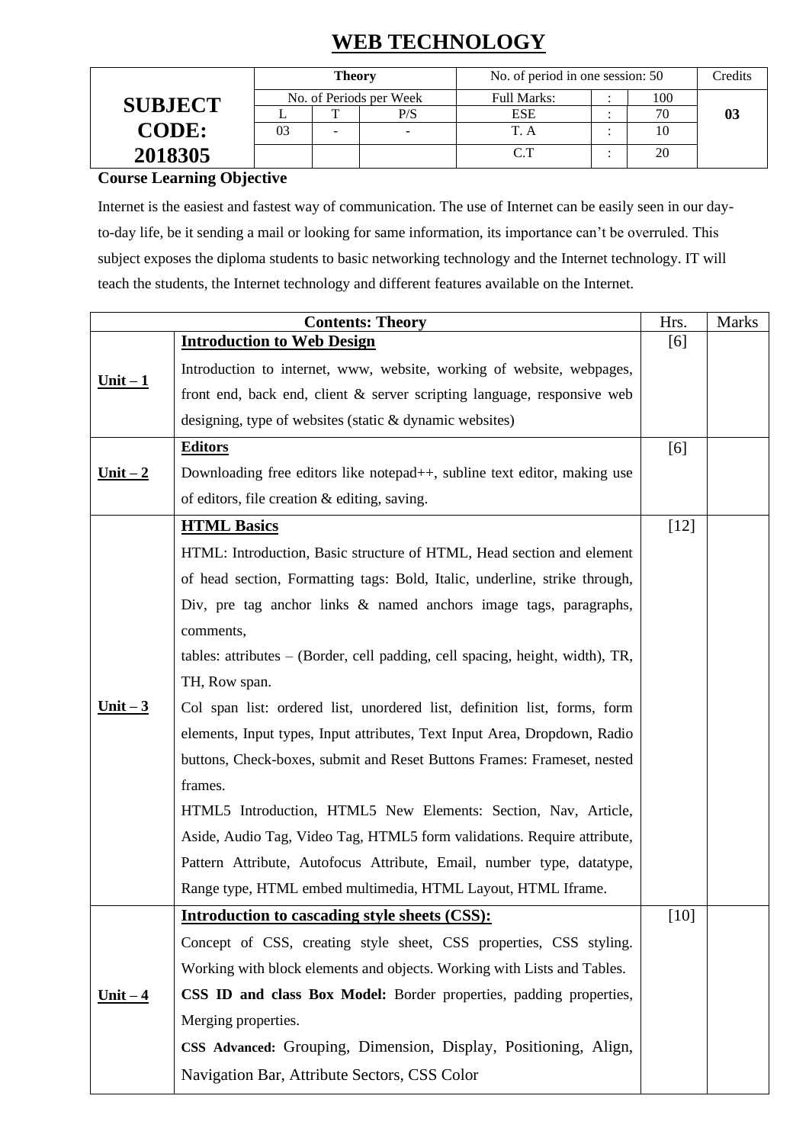# **WEB TECHNOLOGY**

|                | <b>Theory</b>           |  |                    | No. of period in one session: 50 |     |    | Credits |
|----------------|-------------------------|--|--------------------|----------------------------------|-----|----|---------|
| <b>SUBJECT</b> | No. of Periods per Week |  | <b>Full Marks:</b> |                                  | 100 |    |         |
|                |                         |  | P/S                | <b>ESE</b>                       |     | 70 | 03      |
| <b>CODE:</b>   | 03                      |  |                    | T. A                             |     |    |         |
| 2018305        |                         |  |                    | $\cap$ T                         |     | 20 |         |

**Course Learning Objective** 

Internet is the easiest and fastest way of communication. The use of Internet can be easily seen in our dayto-day life, be it sending a mail or looking for same information, its importance can't be overruled. This subject exposes the diploma students to basic networking technology and the Internet technology. IT will teach the students, the Internet technology and different features available on the Internet.

|            | <b>Contents: Theory</b>                                                         | Hrs.   | <b>Marks</b> |
|------------|---------------------------------------------------------------------------------|--------|--------------|
|            | <b>Introduction to Web Design</b>                                               | [6]    |              |
| $Unit - 1$ | Introduction to internet, www, website, working of website, webpages,           |        |              |
|            | front end, back end, client & server scripting language, responsive web         |        |              |
|            | designing, type of websites (static $&$ dynamic websites)                       |        |              |
|            | <b>Editors</b>                                                                  | [6]    |              |
| $Unit - 2$ | Downloading free editors like notepad++, subline text editor, making use        |        |              |
|            | of editors, file creation & editing, saving.                                    |        |              |
|            | <b>HTML Basics</b>                                                              | $[12]$ |              |
|            | HTML: Introduction, Basic structure of HTML, Head section and element           |        |              |
|            | of head section, Formatting tags: Bold, Italic, underline, strike through,      |        |              |
|            | Div, pre tag anchor links & named anchors image tags, paragraphs,               |        |              |
|            | comments,                                                                       |        |              |
|            | tables: attributes $-$ (Border, cell padding, cell spacing, height, width), TR, |        |              |
|            | TH, Row span.                                                                   |        |              |
| $Unit - 3$ | Col span list: ordered list, unordered list, definition list, forms, form       |        |              |
|            | elements, Input types, Input attributes, Text Input Area, Dropdown, Radio       |        |              |
|            | buttons, Check-boxes, submit and Reset Buttons Frames: Frameset, nested         |        |              |
|            | frames.                                                                         |        |              |
|            | HTML5 Introduction, HTML5 New Elements: Section, Nav, Article,                  |        |              |
|            | Aside, Audio Tag, Video Tag, HTML5 form validations. Require attribute,         |        |              |
|            | Pattern Attribute, Autofocus Attribute, Email, number type, datatype,           |        |              |
|            | Range type, HTML embed multimedia, HTML Layout, HTML Iframe.                    |        |              |
|            | Introduction to cascading style sheets (CSS):                                   | $[10]$ |              |
|            | Concept of CSS, creating style sheet, CSS properties, CSS styling.              |        |              |
|            | Working with block elements and objects. Working with Lists and Tables.         |        |              |
| $Unit - 4$ | CSS ID and class Box Model: Border properties, padding properties,              |        |              |
|            | Merging properties.                                                             |        |              |
|            | CSS Advanced: Grouping, Dimension, Display, Positioning, Align,                 |        |              |
|            | Navigation Bar, Attribute Sectors, CSS Color                                    |        |              |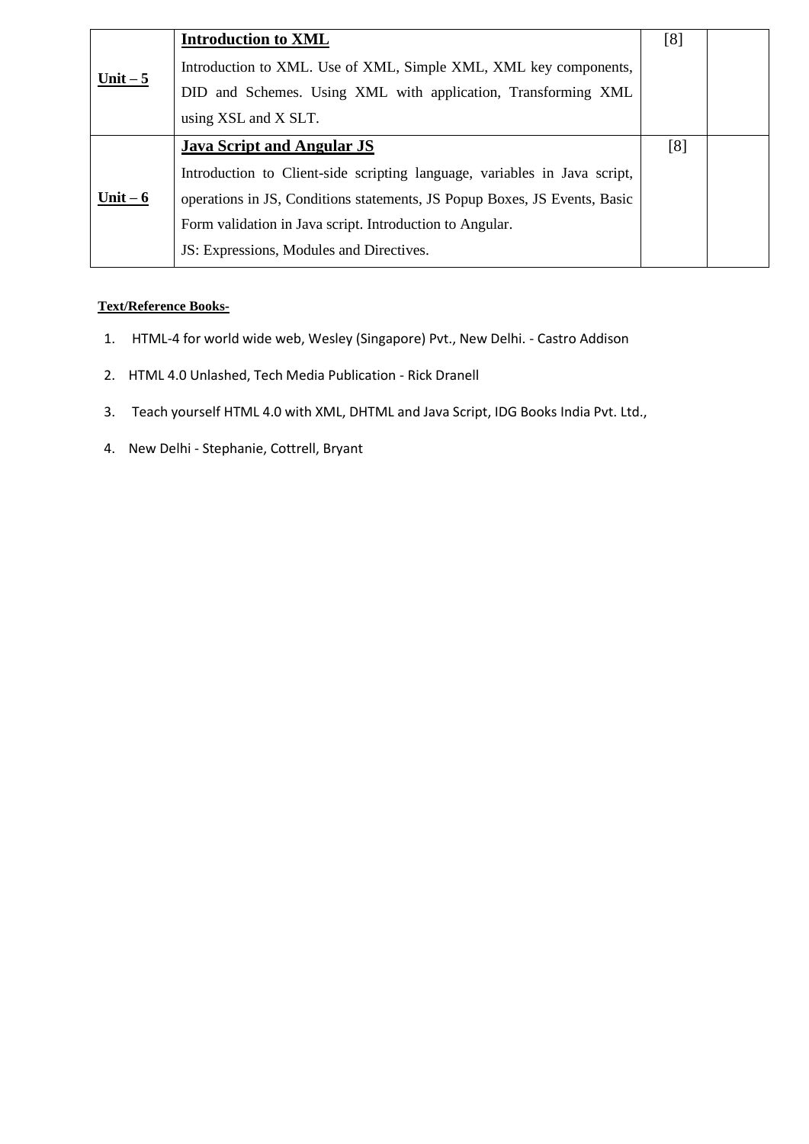|           | <b>Introduction to XML</b>                                                | [8] |  |
|-----------|---------------------------------------------------------------------------|-----|--|
| Unit $-5$ | Introduction to XML. Use of XML, Simple XML, XML key components,          |     |  |
|           | DID and Schemes. Using XML with application, Transforming XML             |     |  |
|           | using XSL and X SLT.                                                      |     |  |
|           | <b>Java Script and Angular JS</b>                                         | [8] |  |
| Unit $-6$ | Introduction to Client-side scripting language, variables in Java script, |     |  |
|           | operations in JS, Conditions statements, JS Popup Boxes, JS Events, Basic |     |  |
|           | Form validation in Java script. Introduction to Angular.                  |     |  |
|           | JS: Expressions, Modules and Directives.                                  |     |  |

#### **Text/Reference Books-**

- 1. HTML-4 for world wide web, Wesley (Singapore) Pvt., New Delhi. Castro Addison
- 2. HTML 4.0 Unlashed, Tech Media Publication Rick Dranell
- 3. Teach yourself HTML 4.0 with XML, DHTML and Java Script, IDG Books India Pvt. Ltd.,
- 4. New Delhi Stephanie, Cottrell, Bryant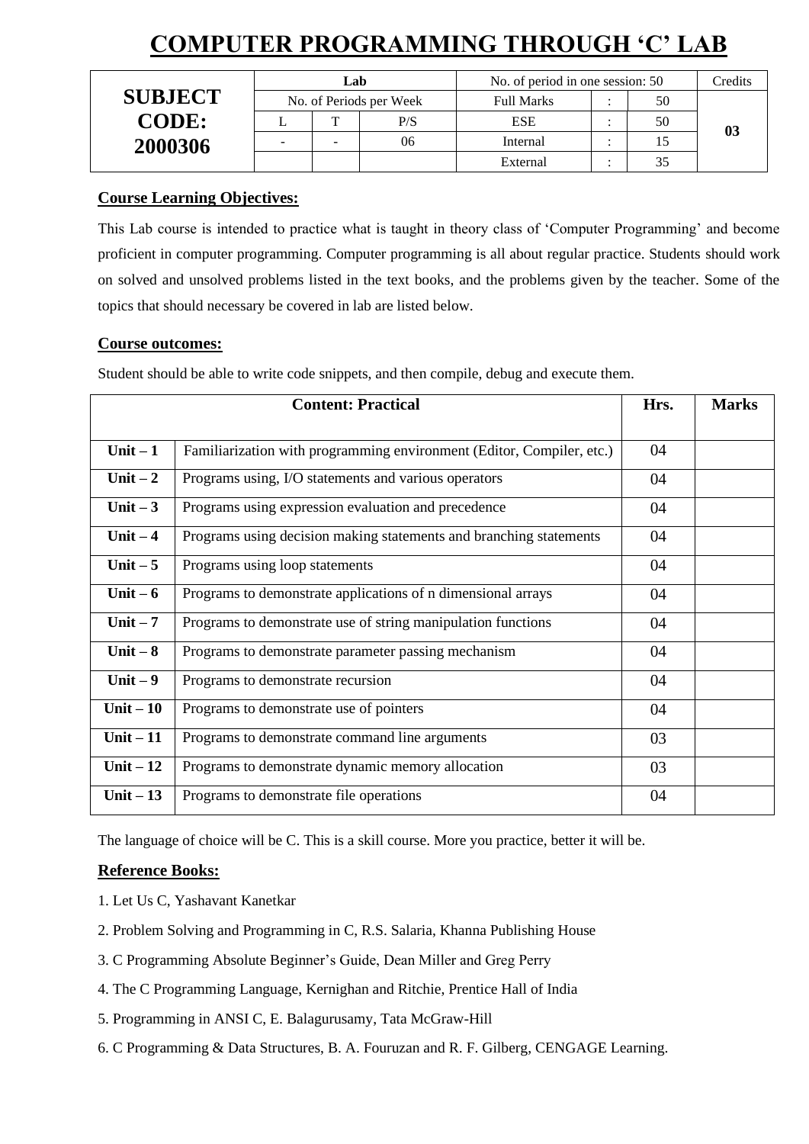# **COMPUTER PROGRAMMING THROUGH 'C' LAB**

|                |                          | Lab |     | No. of period in one session: 50 |  |    | Credits        |
|----------------|--------------------------|-----|-----|----------------------------------|--|----|----------------|
| <b>SUBJECT</b> | No. of Periods per Week  |     |     | <b>Full Marks</b>                |  | 50 |                |
| <b>CODE:</b>   |                          | m   | P/S | <b>ESE</b>                       |  | 50 | 0 <sup>3</sup> |
| 2000306        | $\overline{\phantom{0}}$ | -   | 06  | Internal                         |  |    |                |
|                |                          |     |     | External                         |  |    |                |

### **Course Learning Objectives:**

This Lab course is intended to practice what is taught in theory class of 'Computer Programming' and become proficient in computer programming. Computer programming is all about regular practice. Students should work on solved and unsolved problems listed in the text books, and the problems given by the teacher. Some of the topics that should necessary be covered in lab are listed below.

### **Course outcomes:**

Student should be able to write code snippets, and then compile, debug and execute them.

|            | <b>Content: Practical</b>                                             | Hrs. | <b>Marks</b> |
|------------|-----------------------------------------------------------------------|------|--------------|
|            |                                                                       |      |              |
| Unit $-1$  | Familiarization with programming environment (Editor, Compiler, etc.) | 04   |              |
| Unit $-2$  | Programs using, I/O statements and various operators                  | 04   |              |
| Unit $-3$  | Programs using expression evaluation and precedence                   | 04   |              |
| Unit $-4$  | Programs using decision making statements and branching statements    | 04   |              |
| Unit $-5$  | Programs using loop statements                                        | 04   |              |
| Unit $-6$  | Programs to demonstrate applications of n dimensional arrays          | 04   |              |
| Unit $-7$  | Programs to demonstrate use of string manipulation functions          | 04   |              |
| Unit $-8$  | Programs to demonstrate parameter passing mechanism                   | 04   |              |
| Unit $-9$  | Programs to demonstrate recursion                                     | 04   |              |
| Unit $-10$ | Programs to demonstrate use of pointers                               | 04   |              |
| Unit $-11$ | Programs to demonstrate command line arguments                        | 03   |              |
| Unit $-12$ | Programs to demonstrate dynamic memory allocation                     | 03   |              |
| Unit $-13$ | Programs to demonstrate file operations                               | 04   |              |

The language of choice will be C. This is a skill course. More you practice, better it will be.

- 1. Let Us C, Yashavant Kanetkar
- 2. Problem Solving and Programming in C, R.S. Salaria, Khanna Publishing House
- 3. C Programming Absolute Beginner's Guide, Dean Miller and Greg Perry
- 4. The C Programming Language, Kernighan and Ritchie, Prentice Hall of India
- 5. Programming in ANSI C, E. Balagurusamy, Tata McGraw-Hill
- 6. C Programming & Data Structures, B. A. Fouruzan and R. F. Gilberg, CENGAGE Learning.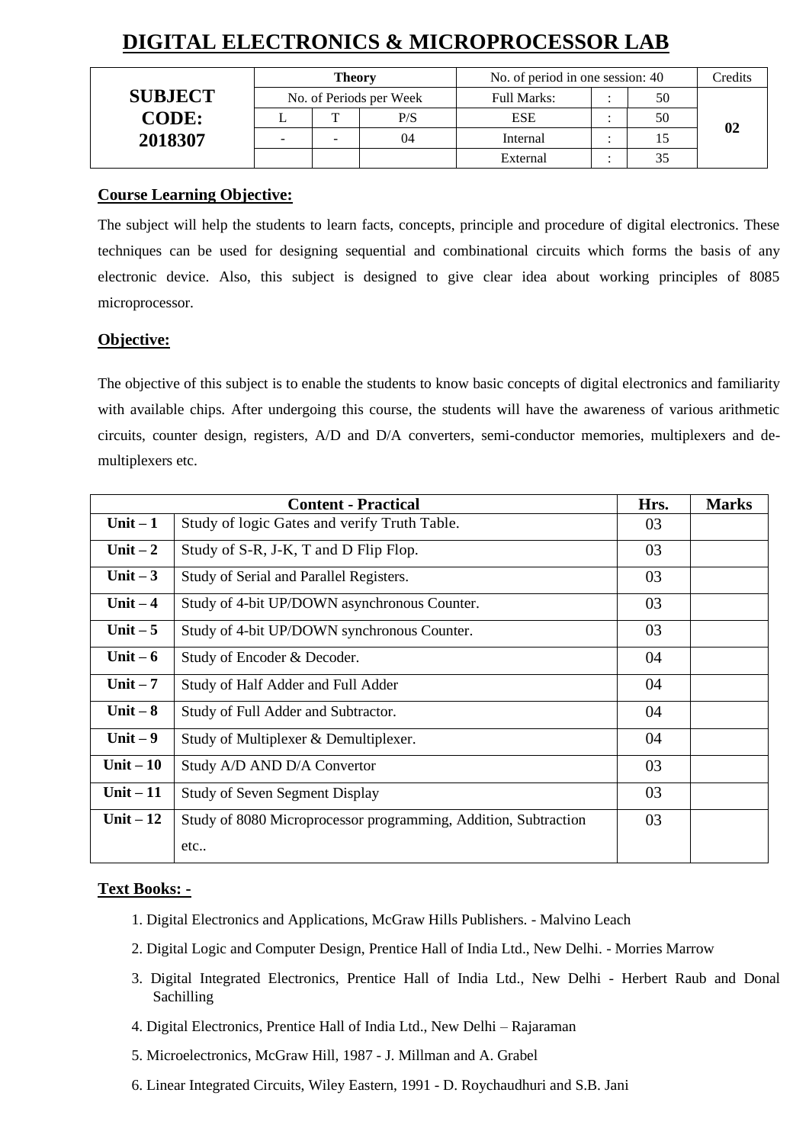# **DIGITAL ELECTRONICS & MICROPROCESSOR LAB**

|                | Theory                  |   |     | No. of period in one session: 40 | Credits |    |
|----------------|-------------------------|---|-----|----------------------------------|---------|----|
| <b>SUBJECT</b> | No. of Periods per Week |   |     | Full Marks:                      | 50      |    |
| <b>CODE:</b>   |                         | m | P/S | <b>ESE</b>                       | 50      |    |
| 2018307        | -                       | - | 04  | Internal                         |         | 02 |
|                |                         |   |     | External                         |         |    |

#### **Course Learning Objective:**

The subject will help the students to learn facts, concepts, principle and procedure of digital electronics. These techniques can be used for designing sequential and combinational circuits which forms the basis of any electronic device. Also, this subject is designed to give clear idea about working principles of 8085 microprocessor.

### **Objective:**

The objective of this subject is to enable the students to know basic concepts of digital electronics and familiarity with available chips. After undergoing this course, the students will have the awareness of various arithmetic circuits, counter design, registers, A/D and D/A converters, semi-conductor memories, multiplexers and demultiplexers etc.

|            | <b>Content - Practical</b>                                      | Hrs. | <b>Marks</b> |
|------------|-----------------------------------------------------------------|------|--------------|
| Unit $-1$  | Study of logic Gates and verify Truth Table.                    | 03   |              |
| Unit $-2$  | Study of S-R, J-K, T and D Flip Flop.                           | 03   |              |
| Unit $-3$  | Study of Serial and Parallel Registers.                         | 03   |              |
| Unit $-4$  | Study of 4-bit UP/DOWN asynchronous Counter.                    | 03   |              |
| Unit $-5$  | Study of 4-bit UP/DOWN synchronous Counter.                     | 03   |              |
| Unit $-6$  | Study of Encoder & Decoder.                                     | 04   |              |
| Unit $-7$  | Study of Half Adder and Full Adder                              | 04   |              |
| Unit $-8$  | Study of Full Adder and Subtractor.                             | 04   |              |
| Unit $-9$  | Study of Multiplexer & Demultiplexer.                           | 04   |              |
| Unit $-10$ | Study A/D AND D/A Convertor                                     | 03   |              |
| Unit $-11$ | <b>Study of Seven Segment Display</b>                           | 03   |              |
| Unit $-12$ | Study of 8080 Microprocessor programming, Addition, Subtraction | 03   |              |
|            | etc                                                             |      |              |

#### **Text Books: -**

- 1. Digital Electronics and Applications, McGraw Hills Publishers. Malvino Leach
- 2. Digital Logic and Computer Design, Prentice Hall of India Ltd., New Delhi. Morries Marrow
- 3. Digital Integrated Electronics, Prentice Hall of India Ltd., New Delhi Herbert Raub and Donal Sachilling
- 4. Digital Electronics, Prentice Hall of India Ltd., New Delhi Rajaraman
- 5. Microelectronics, McGraw Hill, 1987 J. Millman and A. Grabel
- 6. Linear Integrated Circuits, Wiley Eastern, 1991 D. Roychaudhuri and S.B. Jani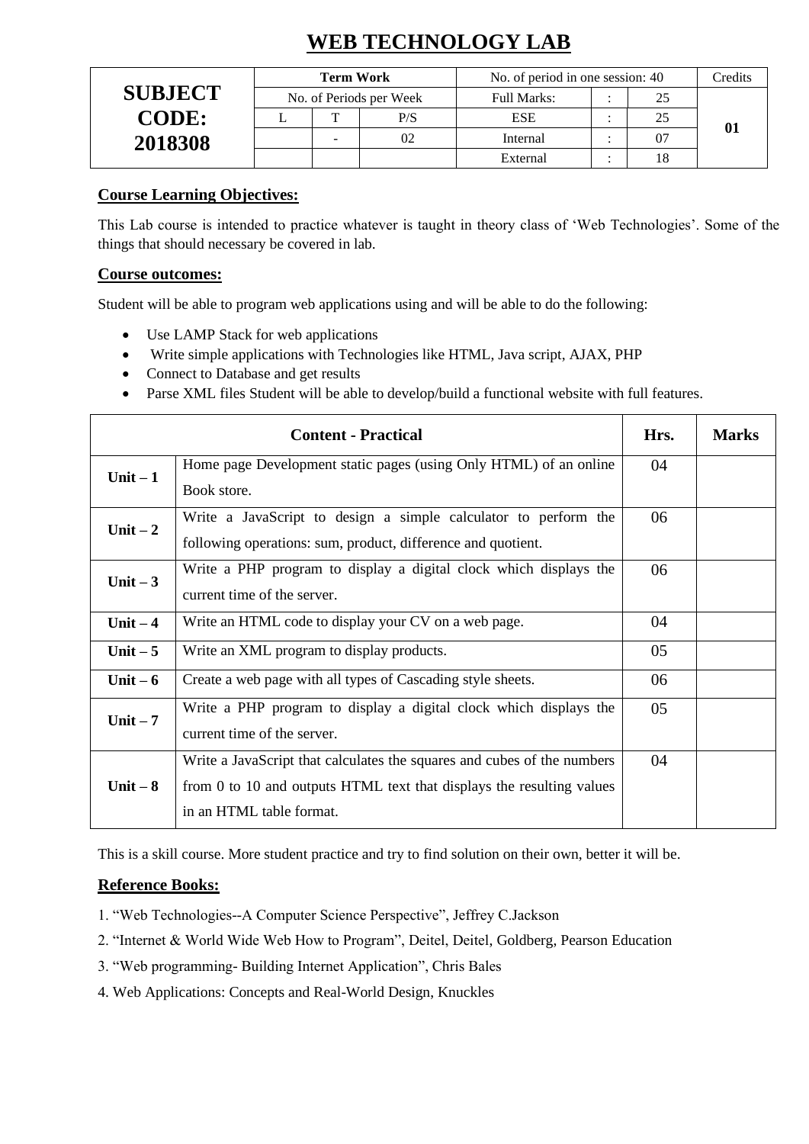# **WEB TECHNOLOGY LAB**

|                | <b>Term Work</b>        |   |     | No. of period in one session: 40 |  |                | Credits |
|----------------|-------------------------|---|-----|----------------------------------|--|----------------|---------|
| <b>SUBJECT</b> | No. of Periods per Week |   |     | <b>Full Marks:</b>               |  | 25             |         |
| <b>CODE:</b>   |                         | m | P/S | <b>ESE</b>                       |  | 25             |         |
| 2018308        |                         |   | 02  | Internal                         |  | 0 <sub>7</sub> | 01      |
|                |                         |   |     | External                         |  |                |         |

## **Course Learning Objectives:**

This Lab course is intended to practice whatever is taught in theory class of 'Web Technologies'. Some of the things that should necessary be covered in lab.

#### **Course outcomes:**

Student will be able to program web applications using and will be able to do the following:

- Use LAMP Stack for web applications
- Write simple applications with Technologies like HTML, Java script, AJAX, PHP
- Connect to Database and get results
- Parse XML files Student will be able to develop/build a functional website with full features.

|           | <b>Content - Practical</b>                                              | Hrs. | <b>Marks</b> |
|-----------|-------------------------------------------------------------------------|------|--------------|
| Unit $-1$ | Home page Development static pages (using Only HTML) of an online       | 04   |              |
|           | Book store.                                                             |      |              |
| Unit $-2$ | Write a JavaScript to design a simple calculator to perform the         | 06   |              |
|           | following operations: sum, product, difference and quotient.            |      |              |
| Unit $-3$ | Write a PHP program to display a digital clock which displays the       | 06   |              |
|           | current time of the server.                                             |      |              |
| Unit $-4$ | Write an HTML code to display your CV on a web page.                    | 04   |              |
| Unit $-5$ | Write an XML program to display products.                               | 05   |              |
| Unit $-6$ | Create a web page with all types of Cascading style sheets.             | 06   |              |
| Unit $-7$ | Write a PHP program to display a digital clock which displays the       | 05   |              |
|           | current time of the server.                                             |      |              |
|           | Write a JavaScript that calculates the squares and cubes of the numbers | 04   |              |
| Unit $-8$ | from 0 to 10 and outputs HTML text that displays the resulting values   |      |              |
|           | in an HTML table format.                                                |      |              |

This is a skill course. More student practice and try to find solution on their own, better it will be.

- 1. "Web Technologies--A Computer Science Perspective", Jeffrey C.Jackson
- 2. "Internet & World Wide Web How to Program", Deitel, Deitel, Goldberg, Pearson Education
- 3. "Web programming- Building Internet Application", Chris Bales
- 4. Web Applications: Concepts and Real-World Design, Knuckles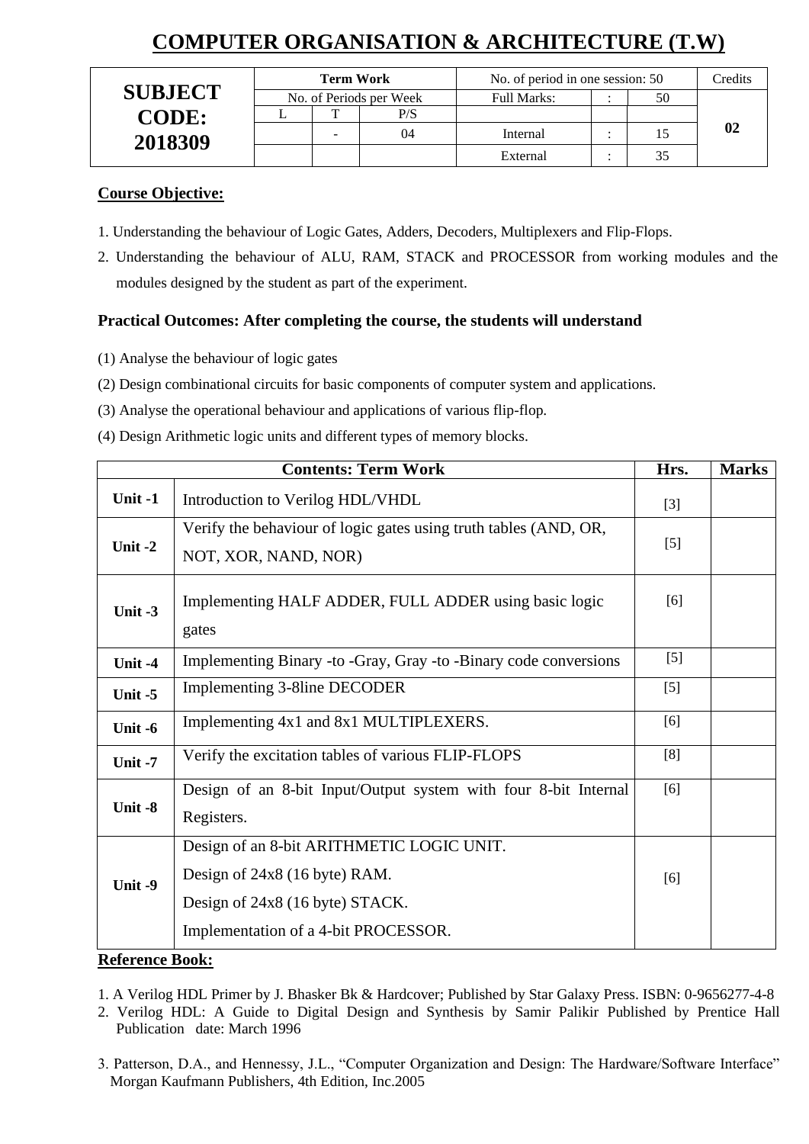# **COMPUTER ORGANISATION & ARCHITECTURE (T.W)**

|                | <b>Term Work</b>        |  |     | No. of period in one session: 50 | Credits |  |
|----------------|-------------------------|--|-----|----------------------------------|---------|--|
| <b>SUBJECT</b> | No. of Periods per Week |  |     | Full Marks:                      | 50      |  |
| <b>CODE:</b>   |                         |  | P/S |                                  |         |  |
| 2018309        |                         |  | 04  | Internal                         |         |  |
|                |                         |  |     | External                         |         |  |

#### **Course Objective:**

- 1. Understanding the behaviour of Logic Gates, Adders, Decoders, Multiplexers and Flip-Flops.
- 2. Understanding the behaviour of ALU, RAM, STACK and PROCESSOR from working modules and the modules designed by the student as part of the experiment.

## **Practical Outcomes: After completing the course, the students will understand**

- (1) Analyse the behaviour of logic gates
- (2) Design combinational circuits for basic components of computer system and applications.
- (3) Analyse the operational behaviour and applications of various flip-flop.
- (4) Design Arithmetic logic units and different types of memory blocks.

|           | <b>Contents: Term Work</b>                                                               | Hrs.  | <b>Marks</b> |
|-----------|------------------------------------------------------------------------------------------|-------|--------------|
| Unit -1   | Introduction to Verilog HDL/VHDL                                                         | $[3]$ |              |
| Unit $-2$ | Verify the behaviour of logic gates using truth tables (AND, OR,<br>NOT, XOR, NAND, NOR) | $[5]$ |              |
| Unit $-3$ | Implementing HALF ADDER, FULL ADDER using basic logic<br>gates                           | [6]   |              |
| Unit -4   | Implementing Binary -to -Gray, Gray -to -Binary code conversions                         | $[5]$ |              |
| Unit $-5$ | Implementing 3-8 line DECODER                                                            | $[5]$ |              |
| Unit -6   | Implementing 4x1 and 8x1 MULTIPLEXERS.                                                   | [6]   |              |
| Unit $-7$ | Verify the excitation tables of various FLIP-FLOPS                                       | [8]   |              |
| Unit -8   | Design of an 8-bit Input/Output system with four 8-bit Internal<br>Registers.            | [6]   |              |
|           | Design of an 8-bit ARITHMETIC LOGIC UNIT.                                                |       |              |
| Unit -9   | Design of 24x8 (16 byte) RAM.                                                            | [6]   |              |
|           | Design of 24x8 (16 byte) STACK.                                                          |       |              |
|           | Implementation of a 4-bit PROCESSOR.                                                     |       |              |

#### **Reference Book:**

1. A Verilog HDL Primer by J. Bhasker Bk & Hardcover; Published by Star Galaxy Press. ISBN: 0-9656277-4-8

2. Verilog HDL: A Guide to Digital Design and Synthesis by Samir Palikir Published by Prentice Hall Publication date: March 1996

3. Patterson, D.A., and Hennessy, J.L., "Computer Organization and Design: The Hardware/Software Interface" Morgan Kaufmann Publishers, 4th Edition, Inc.2005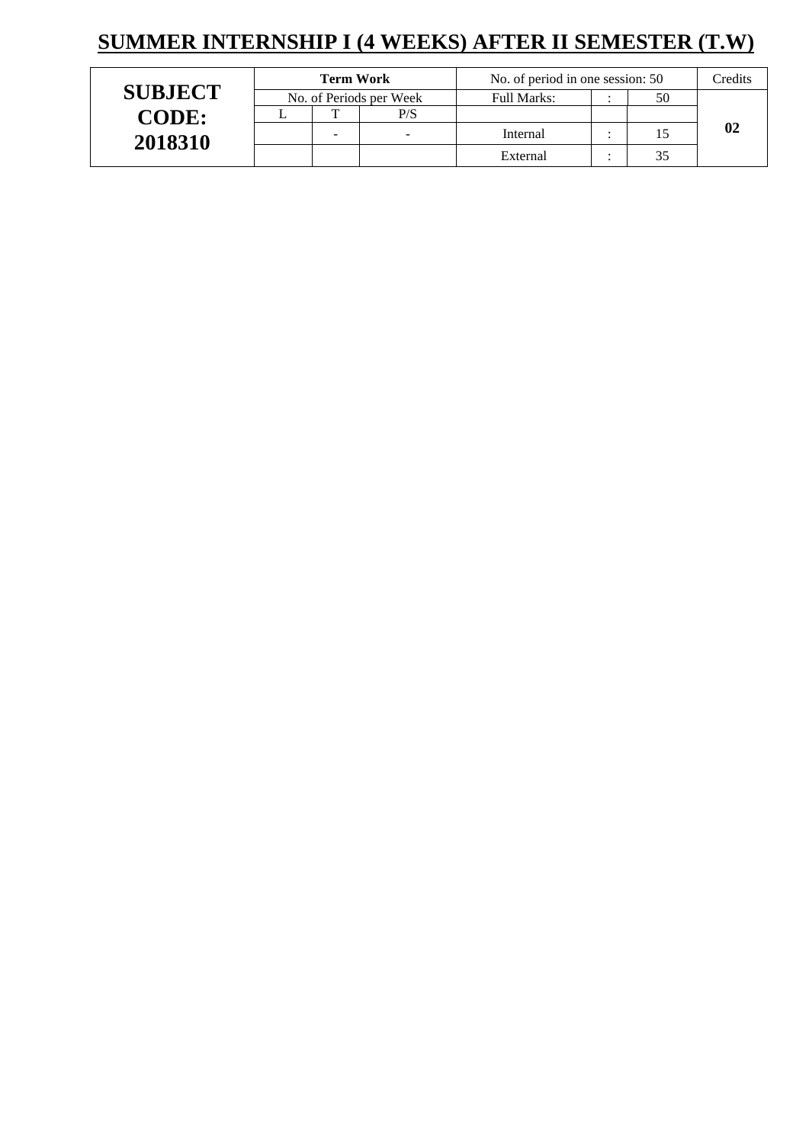# **SUMMER INTERNSHIP I (4 WEEKS) AFTER II SEMESTER (T.W)**

|                | <b>Term Work</b> |                          |                          | No. of period in one session: 50 | Credits |  |
|----------------|------------------|--------------------------|--------------------------|----------------------------------|---------|--|
| <b>SUBJECT</b> |                  |                          | No. of Periods per Week  | Full Marks:                      | 50      |  |
| <b>CODE:</b>   |                  |                          | P/S                      |                                  |         |  |
| 2018310        |                  | $\overline{\phantom{a}}$ | $\overline{\phantom{a}}$ | Internal                         |         |  |
|                |                  |                          |                          | External                         |         |  |